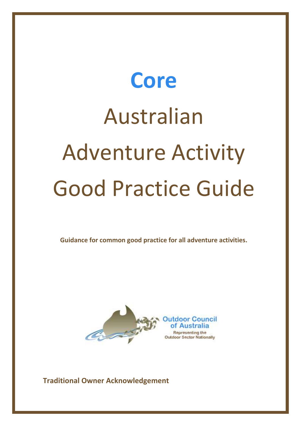# **Core** Australian Adventure Activity Good Practice Guide

**Guidance for common good practice for all adventure activities.**



**Traditional Owner Acknowledgement**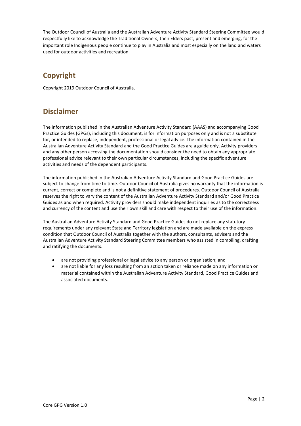The Outdoor Council of Australia and the Australian Adventure Activity Standard Steering Committee would respectfully like to acknowledge the Traditional Owners, their Elders past, present and emerging, for the important role Indigenous people continue to play in Australia and most especially on the land and waters used for outdoor activities and recreation.

# **Copyright**

Copyright 2019 Outdoor Council of Australia.

# **Disclaimer**

The information published in the Australian Adventure Activity Standard (AAAS) and accompanying Good Practice Guides (GPGs), including this document, is for information purposes only and is not a substitute for, or intended to replace, independent, professional or legal advice. The information contained in the Australian Adventure Activity Standard and the Good Practice Guides are a guide only. Activity providers and any other person accessing the documentation should consider the need to obtain any appropriate professional advice relevant to their own particular circumstances, including the specific adventure activities and needs of the dependent participants.

The information published in the Australian Adventure Activity Standard and Good Practice Guides are subject to change from time to time. Outdoor Council of Australia gives no warranty that the information is current, correct or complete and is not a definitive statement of procedures. Outdoor Council of Australia reserves the right to vary the content of the Australian Adventure Activity Standard and/or Good Practice Guides as and when required. Activity providers should make independent inquiries as to the correctness and currency of the content and use their own skill and care with respect to their use of the information.

The Australian Adventure Activity Standard and Good Practice Guides do not replace any statutory requirements under any relevant State and Territory legislation and are made available on the express condition that Outdoor Council of Australia together with the authors, consultants, advisers and the Australian Adventure Activity Standard Steering Committee members who assisted in compiling, drafting and ratifying the documents:

- are not providing professional or legal advice to any person or organisation; and
- are not liable for any loss resulting from an action taken or reliance made on any information or material contained within the Australian Adventure Activity Standard, Good Practice Guides and associated documents.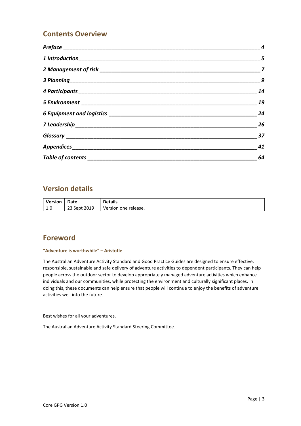# **Contents Overview**

| $\boldsymbol{9}$ |
|------------------|
| 14               |
| 19               |
| 24               |
| 26               |
| 37               |
| 41               |
| 64               |

# **Version details**

| <b>Version</b> | Date         | <b>Details</b>       |
|----------------|--------------|----------------------|
| $\sim$<br>1.U  | 23 Sept 2019 | Version one release. |

# **Foreword**

#### **"Adventure is worthwhile" – Aristotle**

The Australian Adventure Activity Standard and Good Practice Guides are designed to ensure effective, responsible, sustainable and safe delivery of adventure activities to dependent participants. They can help people across the outdoor sector to develop appropriately managed adventure activities which enhance individuals and our communities, while protecting the environment and culturally significant places. In doing this, these documents can help ensure that people will continue to enjoy the benefits of adventure activities well into the future.

Best wishes for all your adventures.

The Australian Adventure Activity Standard Steering Committee.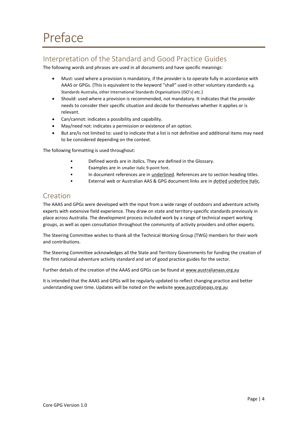# <span id="page-3-1"></span><span id="page-3-0"></span>Interpretation of the Standard and Good Practice Guides

The following words and phrases are used in all documents and have specific meanings:

- Must: used where a provision is mandatory, if the *provider* is to operate fully in accordance with AAAS or GPGs. (This is equivalent to the keyword "shall" used in other voluntary standards e.g. Standards Australia, other International Standards Organisations (ISO's) etc.)
- Should: used where a provision is recommended, not mandatory. It indicates that the *provider* needs to consider their specific situation and decide for themselves whether it applies or is relevant.
- Can/cannot: indicates a possibility and capability.
- May/need not: indicates a permission or existence of an option.
- But are/is not limited to: used to indicate that a list is not definitive and additional items may need to be considered depending on the context.

The following formatting is used throughout:

- Defined words are in *italics.* They are defined in the [Glossary.](#page-36-0)
- Examples are in smaller italic 9-point font.
- In document references are in underlined. References are to section heading titles.
- External web or Australian AAS & GPG document links are in dotted underline italic.

# <span id="page-3-2"></span>Creation

The AAAS and GPGs were developed with the input from a wide range of outdoors and adventure activity experts with extensive field experience. They draw on state and territory-specific standards previously in place across Australia. The development process included work by a range of technical expert working groups, as well as open consultation throughout the community of activity providers and other experts.

The Steering Committee wishes to thank all the Technical Working Group (TWG) members for their work and contributions.

The Steering Committee acknowledges all the State and Territory Governments for funding the creation of the first national adventure activity standard and set of good practice guides for the sector.

Further details of the creation of the AAAS and GPGs can be found at www.australianaas.org.au

It is intended that the AAAS and GPGs will be regularly updated to reflect changing practice and better understanding over time. Updates will be noted on the website www.australianaas.org.au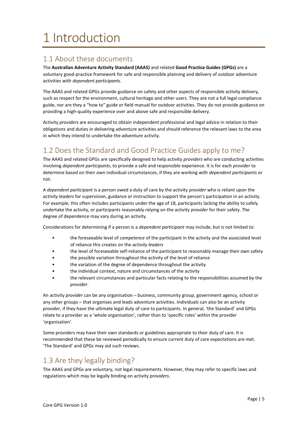# <span id="page-4-0"></span>1 Introduction

# <span id="page-4-1"></span>1.1 About these documents

The **Australian Adventure Activity Standard (AAAS)** and related **Good Practice Guides (GPGs)** are a voluntary good-practice framework for safe and responsible planning and delivery of outdoor adventure activities with *dependent participants*.

The AAAS and related GPGs provide guidance on safety and other aspects of responsible activity delivery, such as respect for the environment, cultural heritage and other users. They are not a full legal compliance guide, nor are they a "how to" guide or field manual for outdoor activities. They do not provide guidance on providing a high-quality experience over and above safe and responsible delivery.

Activity *providers* are encouraged to obtain independent professional and legal advice in relation to their obligations and duties in delivering adventure activities and should reference the relevant laws to the area in which they intend to undertake the adventure activity.

# <span id="page-4-2"></span>1.2 Does the Standard and Good Practice Guides apply to me?

The AAAS and related GPGs are specifically designed to help activity *providers* who are conducting activities involving *dependent participants*, to provide a safe and responsible experience. It is for each *provider* to determine based on their own individual circumstances, if they are working with *dependent participants* or not.

A *dependent participant* is a person owed a duty of care by the activity *provider* who is reliant upon the *activity leaders* for supervision, guidance or instruction to support the person's participation in an activity. For example, this often includes participants under the age of 18, participants lacking the ability to safely undertake the activity, or participants reasonably relying on the activity *provider* for their safety. The degree of dependence may vary during an activity.

Considerations for determining if a person is a *dependent participant* may include, but is not limited to:

- the foreseeable level of *competence* of the participant in the activity and the associated level of reliance this creates on the *activity leaders*
- the level of foreseeable self-reliance of the participant to reasonably manage their own safety
- the possible variation throughout the activity of the level of reliance
- the variation of the degree of dependence throughout the activity
- the individual context, nature and circumstances of the activity
- the relevant circumstances and particular facts relating to the responsibilities assumed by the *provider*.

An activity *provider* can be any organisation – business, community group, government agency, school or any other groups – that organises and leads adventure activities. Individuals can also be an activity *provider*, if they have the ultimate legal duty of care to participants. In general, 'the Standard' and GPGs relate to a provider as a 'whole organisation', rather than to 'specific roles' within the provider 'organisation'.

Some providers may have their own standards or guidelines appropriate to their duty of care. It is recommended that these be reviewed periodically to ensure current duty of care expectations are met. 'The Standard' and GPGs may aid such reviews.

# <span id="page-4-3"></span>1.3 Are they legally binding?

The AAAS and GPGs are voluntary, not legal requirements. However, they may refer to specific laws and regulations which may be legally binding on activity *providers*.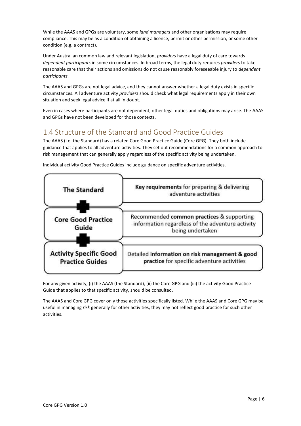While the AAAS and GPGs are voluntary, some *land manager*s and other organisations may require compliance. This may be as a condition of obtaining a licence, permit or other permission, or some other condition (e.g. a contract).

Under Australian common law and relevant legislation, *providers* have a legal duty of care towards *dependent participants* in some circumstances. In broad terms, the legal duty requires *providers* to take reasonable care that their actions and omissions do not cause reasonably foreseeable injury to *dependent participants*.

The AAAS and GPGs are not legal advice, and they cannot answer whether a legal duty exists in specific circumstances. All adventure activity *providers* should check what legal requirements apply in their own situation and seek legal advice if at all in doubt.

Even in cases where participants are not dependent, other legal duties and obligations may arise. The AAAS and GPGs have not been developed for those contexts.

# <span id="page-5-0"></span>1.4 Structure of the Standard and Good Practice Guides

The AAAS (i.e. the Standard) has a related Core Good Practice Guide (Core GPG). They both include guidance that applies to all adventure activities. They set out recommendations for a common approach to risk management that can generally apply regardless of the specific activity being undertaken.



Individual activity Good Practice Guides include guidance on specific adventure activities.

For any given activity, (i) the AAAS (the Standard), (ii) the Core GPG and (iii) the activity Good Practice Guide that applies to that specific activity, should be consulted.

The AAAS and Core GPG cover only those activities specifically listed. While the AAAS and Core GPG may be useful in managing *risk* generally for other activities, they may not reflect good practice for such other activities.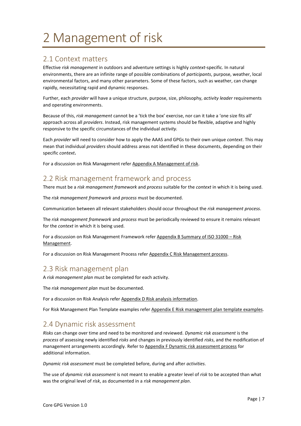# <span id="page-6-0"></span>2 Management of risk

# <span id="page-6-3"></span>2.1 Context matters

Effective *risk management* in outdoors and adventure settings is highly *context*-specific. In natural environments, there are an infinite range of possible combinations of *participants*, purpose, weather, local environmental factors, and many other parameters. Some of these factors, such as weather, can change rapidly, necessitating rapid and dynamic responses.

Further, each *provider* will have a unique structure, purpose, size, philosophy, *activity leader* requirements and operating environments.

Because of this, *risk management* cannot be a 'tick the box' exercise, nor can it take a 'one size fits all' approach across all *providers*. Instead, risk management systems should be flexible, adaptive and highly responsive to the specific circumstances of the individual *activity.*

Each *provider* will need to consider how to apply the AAAS and GPGs to their own unique *context*. This may mean that individual *providers* should address areas not identified in these documents, depending on their specific *context***.**

For a discussion on Risk Management refer [Appendix A Management of risk.](#page-40-1)

# <span id="page-6-4"></span>2.2 Risk management framework and process

There must be a *risk management framework* and *process* suitable for the *context* in which it is being used.

The *risk management framework* and *process* must be documented.

Communication between all relevant stakeholders should occur throughout the *risk management process*.

The *risk management framework* and *process* must be periodically reviewed to ensure it remains relevant for the *context* in which it is being used.

For a discussion on Risk Management Framework refer Appendix B [Summary of ISO 31000](#page-41-0) – Risk [Management.](#page-41-0)

For a discussion on Risk Management Process refer [Appendix C Risk Management process.](#page-45-0)

# <span id="page-6-1"></span>2.3 Risk management plan

A *risk management plan* must be completed for each activity.

The *risk management plan* must be documented.

For a discussion on Risk Analysis refer [Appendix D Risk analysis information.](#page-47-0)

For Risk Management Plan Template examples refe[r Appendix E Risk management plan template examples.](#page-49-0)

# <span id="page-6-2"></span>2.4 Dynamic risk assessment

*Risks* can change over time and need to be monitored and reviewed. *Dynamic risk assessment* is the *process* of assessing newly identified *risks* and changes in previously identified *risks*, and the modification of management arrangements accordingly. Refer to Appendix F [Dynamic risk assessment process](#page-51-0) for additional information.

*Dynamic risk assessment* must be completed before, during and after *activities*.

The use of *dynamic risk assessment* is not meant to enable a greater level of *risk* to be accepted than what was the original level of *risk*, as documented in a *risk management plan*.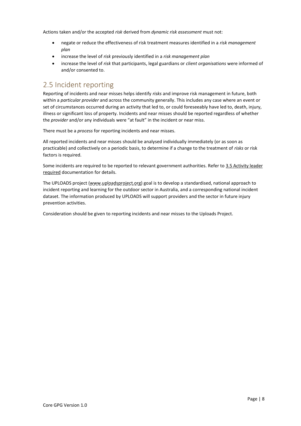Actions taken and/or the accepted *risk* derived from *dynamic risk assessment* must not:

- negate or reduce the effectiveness of risk treatment measures identified in a *risk management plan*
- increase the level of *risk* previously identified in a *risk management plan*
- increase the level of *risk* that participants, legal guardians or *client organisations* were informed of and/or consented to.

# <span id="page-7-0"></span>2.5 Incident reporting

Reporting of incidents and near misses helps identify *risks* and improve risk management in future, both within a *particular provider* and across the community generally. This includes any case where an event or set of circumstances occurred during an activity that led to, or could foreseeably have led to, death, injury, illness or significant loss of property. Incidents and near misses should be reported regardless of whether the *provider* and/or any individuals were "at fault" in the incident or near miss.

There must be a *process* for reporting incidents and near misses.

All reported incidents and near misses should be analysed individually immediately (or as soon as practicable) and collectively on a periodic basis, to determine if a change to the treatment of *risks* or risk factors is required.

Some incidents are required to be reported to relevant government authorities. Refer to 3.5 [Activity leader](#page-13-1)  required [documentation](#page-13-1) for details.

The UPLOADS project (www.uploadsproject.org) goal is to develop a standardised, national approach to incident reporting and learning for the outdoor sector in Australia, and a corresponding national incident dataset. The information produced by UPLOADS will support providers and the sector in future injury prevention activities.

Consideration should be given to reporting incidents and near misses to the Uploads Project.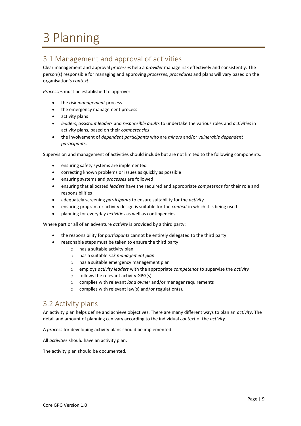# <span id="page-8-0"></span>3 Planning

# <span id="page-8-2"></span>3.1 Management and approval of activities

Clear management and approval *processes* help a *provider* manage risk effectively and consistently. The person(s) responsible for managing and approving *processes*, *procedures* and plans will vary based on the organisation's *context*.

*Processes* must be established to approve:

- the *risk management* process
- the emergency management process
- activity plans
- *leaders*, *assistant leaders* and *responsible adults* to undertake the various roles and *activities* in activity plans, based on their *competencies*
- the involvement of *dependent participants* who are *minors* and/or *vulnerable dependent participants*.

Supervision and management of activities should include but are not limited to the following components:

- ensuring safety systems are implemented
- correcting known problems or issues as quickly as possible
- ensuring systems and *processes* are followed
- ensuring that allocated *leaders* have the required and appropriate *competence* for their role and responsibilities
- adequately screening *participants* to ensure suitability for the *activity*
- ensuring program or activity design is suitable for the *context* in which it is being used
- planning for everyday *activities* as well as contingencies.

Where part or all of an adventure *activity* is provided by a third party:

- the responsibility for *participants* cannot be entirely delegated to the third party
- reasonable steps must be taken to ensure the third party:
	- o has a suitable activity plan
	- o has a suitable *risk management plan*
	- o has a suitable emergency management plan
	- o employs *activity leaders* with the appropriate *competence* to supervise the *activity*
	- o follows the relevant activity GPG(s)
	- o complies with relevant *land owner* and/or manager requirements
	- o complies with relevant law(s) and/or regulation(s).

# <span id="page-8-1"></span>3.2 Activity plans

An activity plan helps define and achieve objectives. There are many different ways to plan an *activity*. The detail and amount of planning can vary according to the individual *context* of the *activity*.

A *process* for developing activity plans should be implemented.

All *activities* should have an activity plan.

The activity plan should be documented.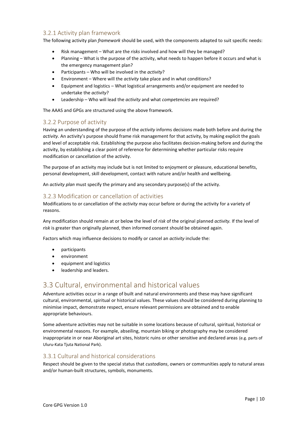#### <span id="page-9-1"></span>3.2.1 Activity plan framework

The following activity plan *framework* should be used, with the components adapted to suit specific needs:

- Risk management What are the *risks* involved and how will they be managed?
- Planning What is the purpose of the activity, what needs to happen before it occurs and what is the emergency management plan?
- Participants Who will be involved in the *activity*?
- Environment Where will the *activity* take place and in what conditions?
- Equipment and logistics What logistical arrangements and/or equipment are needed to undertake the *activity*?
- Leadership Who will lead the *activity* and what *competencies* are required?

The AAAS and GPGs are structured using the above framework.

#### <span id="page-9-2"></span>3.2.2 Purpose of activity

Having an understanding of the purpose of the *activity* informs decisions made both before and during the *activity*. An activity's purpose should frame risk management for that activity, by making explicit the goals and level of acceptable risk. Establishing the purpose also facilitates decision-making before and during the activity, by establishing a clear point of reference for determining whether particular risks require modification or cancellation of the activity.

The purpose of an activity may include but is not limited to enjoyment or pleasure, educational benefits, personal development, skill development, contact with nature and/or health and wellbeing.

An *activity plan* must specify the primary and any secondary purpose(s) of the activity.

#### <span id="page-9-3"></span>3.2.3 Modification or cancellation of activities

Modifications to or cancellation of the *activity* may occur before or during the activity for a variety of reasons.

Any modification should remain at or below the level of *risk* of the original planned *activity.* If the level of *risk* is greater than originally planned, then informed consent should be obtained again.

Factors which may influence decisions to modify or cancel an *activity* include the:

- participants
- environment
- equipment and logistics
- leadership and leaders.

# <span id="page-9-0"></span>3.3 Cultural, environmental and historical values

Adventure activities occur in a range of built and natural environments and these may have significant cultural, environmental, spiritual or historical values. These values should be considered during planning to minimise impact, demonstrate respect, ensure relevant permissions are obtained and to enable appropriate behaviours.

Some adventure activities may not be suitable in some locations because of cultural, spiritual, historical or environmental reasons. For example, abseiling, mountain biking or photography may be considered inappropriate in or near Aboriginal art sites, historic ruins or other sensitive and declared areas (e.g. parts of Uluru-Kata Tjuta National Park).

#### <span id="page-9-4"></span>3.3.1 Cultural and historical considerations

Respect should be given to the special status that *custodians*, owners or communities apply to natural areas and/or human-built structures, symbols, monuments.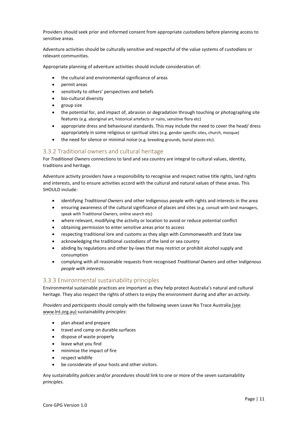Providers should seek prior and informed consent from appropriate *custodians* before planning access to sensitive areas.

Adventure activities should be culturally sensitive and respectful of the value systems of c*ustodians* or relevant communities.

Appropriate planning of adventure activities should include consideration of:

- the cultural and environmental significance of areas
- permit areas
- sensitivity to others' perspectives and beliefs
- bio-cultural diversity
- group size
- the potential for, and impact of, abrasion or degradation through touching or photographing site features (e.g. aboriginal art, historical artefacts or ruins, sensitive flora etc)
- appropriate dress and behavioural standards. This may include the need to cover the head/ dress appropriately in some religious or spiritual sites (e.g. gender specific sites, church, mosque)
- the need for silence or minimal noise (e.g. breeding grounds, burial places etc).

#### <span id="page-10-0"></span>3.3.2 Traditional owners and cultural heritage

For *Traditional Owners* connections to land and sea country are integral to cultural values, identity, traditions and heritage.

Adventure activity providers have a responsibility to recognise and respect native title rights, land rights and interests, and to ensure activities accord with the cultural and natural values of these areas. This SHOULD include:

- identifying *Traditional Owners* and other Indigenous people with rights and interests in the area
- ensuring awareness of the cultural significance of places and sites (e.g. consult with land managers, speak with Traditional Owners, online search etc)
- where relevant, modifying the activity or location to avoid or reduce potential conflict
- obtaining permission to enter sensitive areas prior to access
- respecting traditional lore and customs as they align with Commonwealth and State law
- acknowledging the traditional *custodians* of the land or sea country
- abiding by regulations and other by-laws that may restrict or prohibit alcohol supply and consumption
- complying with all reasonable requests from recognised *Traditional Owners* and other I*ndigenous people with interests.*

#### <span id="page-10-1"></span>3.3.3 Environmental sustainability principles

Environmental sustainable practices are important as they help protect Australia's natural and cultural heritage. They also respect the rights of others to enjoy the environment during and after an *activity.*

*Providers* and *participants* should comply with the following seven Leave No Trace Australia (see www.lnt.org.au) sustainability *principles*:

- plan ahead and prepare
- travel and camp on durable surfaces
- dispose of waste properly
- leave what you find
- minimise the impact of fire
- respect wildlife
- be considerate of your hosts and other visitors.

Any sustainability *policies* and/or *procedures* should link to one or more of the seven sustainability *principles*.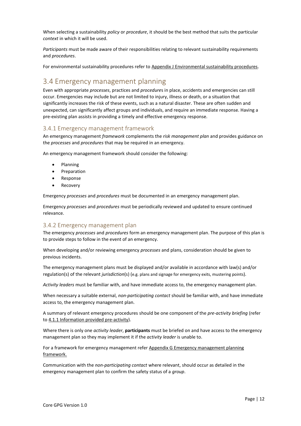When selecting a sustainability *policy* or *procedure*, it should be the best method that suits the particular *context* in which it will be used.

*Participants* must be made aware of their responsibilities relating to relevant sustainability requirements and *procedures*.

For environmental sustainability procedures refer to [Appendix J Environmental sustainability procedures.](#page-57-0)

# <span id="page-11-0"></span>3.4 Emergency management planning

Even with appropriate *processes*, practices and *procedure*s in place, accidents and emergencies can still occur. Emergencies may include but are not limited to injury, illness or death, or a situation that significantly increases the risk of these events, such as a natural disaster. These are often sudden and unexpected, can significantly affect groups and individuals, and require an immediate response. Having a pre-existing plan assists in providing a timely and effective emergency response.

#### <span id="page-11-2"></span>3.4.1 Emergency management framework

An emergency management *framework* complements the *risk management plan* and provides guidance on the *processes* and *procedures* that may be required in an emergency.

An emergency management framework should consider the following:

- Planning
- Preparation
- Response
- Recovery

Emergency *processes* and *procedures* must be documented in an emergency management plan.

Emergency *processes* and *procedures* must be periodically reviewed and updated to ensure continued relevance.

#### <span id="page-11-1"></span>3.4.2 Emergency management plan

The emergency *processes* and *procedures* form an emergency management plan. The purpose of this plan is to provide steps to follow in the event of an emergency.

When developing and/or reviewing emergency *processes* and plans, consideration should be given to previous incidents.

The emergency management plans must be displayed and/or available in accordance with law(s) and/or regulation(s) of the relevant *jurisdiction*(s) (e.g. plans and signage for emergency exits, mustering points).

*Activity leaders* must be familiar with, and have immediate access to, the emergency management plan.

When necessary a suitable external, *non-participating contact* should be familiar with, and have immediate access to, the emergency management plan.

A summary of relevant emergency procedures should be one component of the *pre-activity briefing* (refer to [4.1.1 Information provided pre-activity\)](#page-13-2).

Where there is only one *activity leader*, **participants** must be briefed on and have access to the emergency management plan so they may implement it if the *activity leader* is unable to.

For a framework for emergency management refer Appendix G [Emergency management planning](#page-53-0)  [framework.](#page-53-0)

Communication with the *non-participating contact* where relevant, should occur as detailed in the emergency management plan to confirm the safety status of a *group*.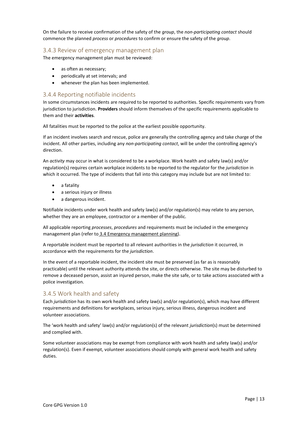On the failure to receive confirmation of the safety of the *group*, the *non-participating contact* should commence the planned *process* or *procedures* to confirm or ensure the safety of the *group*.

#### <span id="page-12-1"></span>3.4.3 Review of emergency management plan

The emergency management plan must be reviewed:

- as often as necessary;
- periodically at set intervals; and
- whenever the plan has been implemented.

#### <span id="page-12-0"></span>3.4.4 Reporting notifiable incidents

In some circumstances incidents are required to be reported to authorities. Specific requirements vary from jurisdiction to jurisdiction. **Providers** should inform themselves of the specific requirements applicable to them and their **activities**.

All fatalities must be reported to the police at the earliest possible opportunity.

If an incident involves search and rescue, police are generally the controlling agency and take charge of the incident. All other parties, including any *non-participating contact*, will be under the controlling agency's direction.

An *activity* may occur in what is considered to be a workplace. Work health and safety law(s) and/or regulation(s) requires certain workplace incidents to be reported to the regulator for the *jurisdiction* in which it occurred. The type of incidents that fall into this category may include but are not limited to:

- a fatality
- a serious injury or illness
- a dangerous incident.

Notifiable incidents under work health and safety law(s) and/or regulation(s) may relate to any person, whether they are an employee, contractor or a member of the public.

All applicable reporting *processes*, *procedures* and requirements must be included in the emergency management plan (refer to 3.4 [Emergency management](#page-11-0) planning).

A reportable incident must be reported to all relevant authorities in the *jurisdiction* it occurred, in accordance with the requirements for the *jurisdiction*.

In the event of a reportable incident, the incident site must be preserved (as far as is reasonably practicable) until the relevant authority attends the site, or directs otherwise. The site may be disturbed to remove a deceased person, assist an injured person, make the site safe, or to take actions associated with a police investigation.

#### <span id="page-12-2"></span>3.4.5 Work health and safety

Each *jurisdiction* has its own work health and safety law(s) and/or regulation(s), which may have different requirements and definitions for workplaces, serious injury, serious illness, dangerous incident and volunteer associations.

The 'work health and safety' law(s) and/or regulation(s) of the relevant *jurisdiction*(s) must be determined and complied with.

Some volunteer associations may be exempt from compliance with work health and safety law(s) and/or regulation(s). Even if exempt, volunteer associations should comply with general work health and safety duties.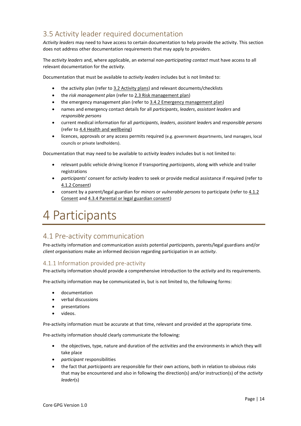# <span id="page-13-1"></span>3.5 Activity leader required documentation

*Activity leaders* may need to have access to certain documentation to help provide the activity. This section does not address other documentation requirements that may apply to *providers*.

The *activity leaders* and, where applicable, an external *non-participating contact* must have access to all relevant documentation for the *activity*.

Documentation that must be available to *activity leaders* includes but is not limited to:

- the activity plan (refer to [3.2 Activity plans\)](#page-8-1) and relevant documents/checklists
- the *risk management plan* (refer to [2.3 Risk management plan\)](#page-6-1)
- the emergency management plan (refer to [3.4.2 Emergency management plan\)](#page-11-1)
- names and emergency contact details for all *participants*, *leaders*, *assistant leaders* and *responsible persons*
- current medical information for all *participants*, *leaders*, *assistant leader*s and *responsible persons* (refer to [4.4 Health and wellbeing\)](#page-16-0)
- licences, approvals or any access permits required (e.g. government departments, land managers, local councils or private landholders).

Documentation that may need to be available to *activity leaders* includes but is not limited to:

- relevant public vehicle driving licence if transporting *participants*, along with vehicle and trailer registrations
- *participants*' consent for *activity leaders* to seek or provide medical assistance if required (refer to [4.1.2 Consent\)](#page-14-0)
- consent by a parent/legal guardian for *minors* or *vulnerable persons* to participate (refer to [4.1.2](#page-14-0)  [Consent](#page-14-0) an[d 4.3.4 Parental or legal guardian consent\)](#page-15-0)

# <span id="page-13-0"></span>4 Participants

# <span id="page-13-3"></span>4.1 Pre-activity communication

Pre-activity information and communication assists potential *participant*s, parents/legal guardians and/or *client organisations* make an informed decision regarding participation in an *activity*.

#### <span id="page-13-2"></span>4.1.1 Information provided pre-activity

Pre-activity information should provide a comprehensive introduction to the *activity* and its requirements.

Pre-activity information may be communicated in, but is not limited to, the following forms:

- documentation
- verbal discussions
- presentations
- videos.

Pre-activity information must be accurate at that time, relevant and provided at the appropriate time.

Pre-activity information should clearly communicate the following:

- the objectives, type, nature and duration of the *activities* and the environments in which they will take place
- *participant* responsibilities
- the fact that *participants* are responsible for their own actions, both in relation to obvious *risks* that may be encountered and also in following the direction(s) and/or instruction(s) of the *activity leader*(s)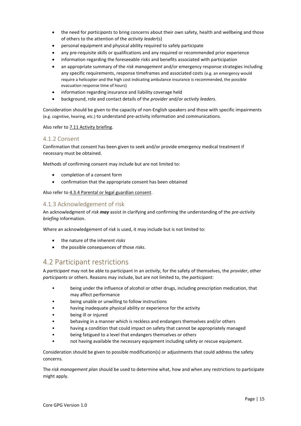- the need for *participants* to bring concerns about their own safety, health and wellbeing and those of others to the attention of the *activity leader*(s)
- personal equipment and physical ability required to safely participate
- any pre-requisite skills or qualifications and any required or recommended prior experience
- information regarding the foreseeable *risks* and benefits associated with participation
- an appropriate summary of the *risk management* and/or emergency response strategies including any specific requirements, response timeframes and associated costs (e.g. an emergency would require a helicopter and the high cost indicating ambulance insurance is recommended, the possible evacuation response time of hours)
- information regarding insurance and liability coverage held
- background, role and contact details of the *provider* and/or *activity leaders*.

Consideration should be given to the capacity of non-English speakers and those with specific impairments (e.g. cognitive, hearing, etc.) to understand pre-activity information and communications.

Also refer to [7.11 Activity briefing.](#page-35-0)

#### <span id="page-14-0"></span>4.1.2 Consent

Confirmation that consent has been given to seek and/or provide emergency medical treatment if necessary must be obtained.

Methods of confirming consent may include but are not limited to:

- completion of a consent form
- confirmation that the appropriate consent has been obtained

Also refer to [4.3.4 Parental or legal guardian consent.](#page-15-0)

#### <span id="page-14-2"></span>4.1.3 Acknowledgement of risk

An acknowledgment of *risk may* assist in clarifying and confirming the understanding of the *pre-activity briefing* information.

Where an acknowledgement of *risk* is used, it may include but is not limited to:

- the nature of the inherent *risks*
- the possible consequences of those *risks*.

# <span id="page-14-1"></span>4.2 Participant restrictions

A *participant* may not be able to participant in an *activity*, for the safety of themselves, the *provider*, other *participants* or others. Reasons may include, but are not limited to, the *participant*:

- being under the influence of alcohol or other drugs, including prescription medication, that may affect performance
- being unable or unwilling to follow instructions
- having inadequate physical ability or experience for the activity
- being ill or injured
- behaving in a manner which is reckless and endangers themselves and/or others
- having a condition that could impact on safety that cannot be appropriately managed
- being fatigued to a level that endangers themselves or others
- not having available the necessary equipment including safety or rescue equipment.

Consideration should be given to possible modification(s) or adjustments that could address the safety concerns.

The *risk management plan* should be used to determine what, how and when any restrictions to participate might apply.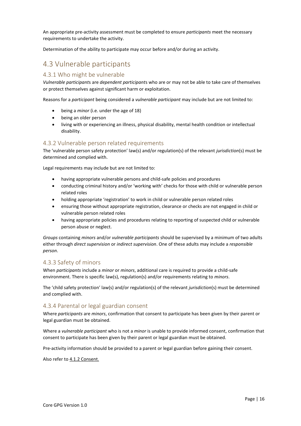An appropriate pre-activity assessment must be completed to ensure *participants* meet the necessary requirements to undertake the activity.

Determination of the ability to participate may occur before and/or during an activity.

# <span id="page-15-1"></span>4.3 Vulnerable participants

#### <span id="page-15-2"></span>4.3.1 Who might be vulnerable

*Vulnerable participant*s are *dependent participant*s who are or may not be able to take care of themselves or protect themselves against significant harm or exploitation.

Reasons for a *participant* being considered a *vulnerable participant* may include but are not limited to:

- being a *minor* (i.e. under the age of 18)
- being an older person
- living with or experiencing an illness, physical disability, mental health condition or intellectual disability.

#### <span id="page-15-3"></span>4.3.2 Vulnerable person related requirements

The 'vulnerable person safety protection' law(s) and/or regulation(s) of the relevant *jurisdiction*(s) must be determined and complied with.

Legal requirements may include but are not limited to:

- having appropriate vulnerable persons and child-safe policies and procedures
- conducting criminal history and/or 'working with' checks for those with child or vulnerable person related roles
- holding appropriate 'registration' to work in child or vulnerable person related roles
- ensuring those without appropriate registration, clearance or checks are not engaged in child or vulnerable person related roles
- having appropriate policies and procedures relating to reporting of suspected child or vulnerable person abuse or neglect.

*Groups* containing *minors* and/or *vulnerable participants* should be supervised by a minimum of two adults either through *direct supervision* or *indirect supervision*. One of these adults may include a *responsible person*.

#### <span id="page-15-4"></span>4.3.3 Safety of minors

When *participants* include a *minor* or *minors*, additional care is required to provide a child-safe environment. There is specific law(s), regulation(s) and/or requirements relating to *minors*.

The 'child safety protection' law(s) and/or regulation(s) of the relevant *jurisdiction*(s) must be determined and complied with.

#### <span id="page-15-0"></span>4.3.4 Parental or legal guardian consent

Where *participants* are *minors*, confirmation that consent to participate has been given by their parent or legal guardian must be obtained.

Where a *vulnerable participant* who is not a *minor* is unable to provide informed consent, confirmation that consent to participate has been given by their parent or legal guardian must be obtained.

Pre-activity information should be provided to a parent or legal guardian before gaining their consent.

Also refer to [4.1.2 Consent.](#page-14-0)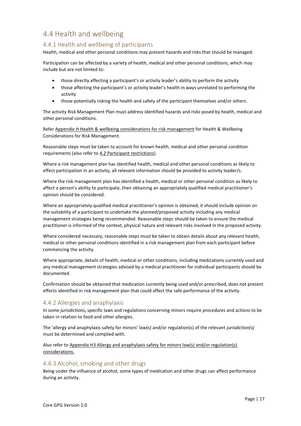# <span id="page-16-0"></span>4.4 Health and wellbeing

#### <span id="page-16-1"></span>4.4.1 Health and wellbeing of participants

Health, medical and other personal conditions may present hazards and risks that should be managed.

Participation can be affected by a variety of health, medical and other personal conditions, which may include but are not limited to:

- those directly affecting a participant's or activity leader's ability to perform the activity
- those affecting the participant's or activity leader's health in ways unrelated to performing the activity
- those potentially risking the health and safety of the participant themselves and/or others.

The activity Risk Management Plan must address identified hazards and risks posed by health, medical and other personal conditions.

Refer Appendix H [Health & wellbeing considerations for risk management](#page-54-0) for Health & Wellbeing Considerations for Risk Management.

Reasonable steps must be taken to account for known health, medical and other personal condition requirements (also refer to [4.2 Participant](#page-14-1) restrictions).

Where a risk management plan has identified health, medical and other personal conditions as likely to effect participation in an activity, all relevant information should be provided to activity leader/s.

Where the risk management plan has identified a health, medical or other personal condition as likely to affect a person's ability to participate, then obtaining an appropriately qualified medical practitioner's opinion should be considered.

Where an appropriately qualified medical practitioner's opinion is obtained, it should include opinion on the suitability of a participant to undertake the planned/proposed activity including any medical management strategies being recommended. Reasonable steps should be taken to ensure the medical practitioner is informed of the context, physical nature and relevant risks involved in the proposed activity.

Where considered necessary, reasonable steps must be taken to obtain details about any relevant health, medical or other personal conditions identified in a risk management plan from each participant before commencing the activity.

Where appropriate, details of health, medical or other conditions, including medications currently used and any medical management strategies advised by a medical practitioner for individual participants should be documented.

Confirmation should be obtained that medication currently being used and/or prescribed, does not present effects identified in risk management plan that could affect the safe performance of the activity.

#### <span id="page-16-2"></span>4.4.2 Allergies and anaphylaxis

In some *jurisdictions***,** specific laws and regulations concerning minors require *procedures* and actions to be taken in relation to food and other allergies.

The 'allergy and anaphylaxis safety for minors' law(s) and/or regulation(s) of the relevant *jurisdiction(s)* must be determined and complied with.

Also refer to Appendix [H3 Allergy and anaphylaxis safety for minors law\(s\)](#page-54-1) and/or regulation(s) [considerations.](#page-54-1)

#### <span id="page-16-3"></span>4.4.3 Alcohol, smoking and other drugs

Being under the influence of alcohol, some types of medication and other drugs can affect performance during an activity.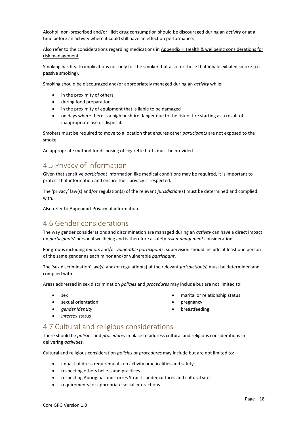Alcohol, non-prescribed and/or illicit drug consumption should be discouraged during an *activity* or at a time before an activity where it could still have an effect on performance.

Also refer to the considerations regarding medications in Appendix H [Health & wellbeing considerations for](#page-54-0)  [risk management.](#page-54-0)

Smoking has health implications not only for the smoker, but also for those that inhale exhaled smoke (i.e. passive smoking).

Smoking should be discouraged and/or appropriately managed during an *activity* while:

- in the proximity of others
- during food preparation
- in the proximity of equipment that is liable to be damaged
- on days where there is a high bushfire danger due to the risk of fire starting as a result of inappropriate use or disposal.

Smokers must be required to move to a location that ensures other *participants* are not exposed to the smoke.

An appropriate method for disposing of cigarette butts must be provided.

# <span id="page-17-1"></span>4.5 Privacy of information

Given that sensitive *participant* information like medical conditions may be required, it is important to protect that information and ensure their privacy is respected.

The 'privacy' law(s) and/or regulation(s) of the relevant *jurisdiction*(s) must be determined and complied with.

Also refer t[o Appendix I Privacy of information.](#page-56-0)

# <span id="page-17-0"></span>4.6 Gender considerations

The way gender considerations and discrimination are managed during an *activity* can have a direct impact on *participants*' personal wellbeing and is therefore a safety *risk management* consideration.

For groups including *minors* and/or *vulnerable participants*, supervision should include at least one person of the same gender as each minor and/or vulnerable *participant*.

The 'sex discrimination' law(s) and/or regulation(s) of the relevant *jurisdiction*(s) must be determined and complied with.

Areas addressed in sex discrimination *policies* and *procedures* may include but are not limited to:

- sex
- sexual orientation
- *gender identity*
- *intersex* status
- marital or relationship status
- pregnancy
- breastfeeding.

# <span id="page-17-2"></span>4.7 Cultural and religious considerations

There should be *policies* and *procedures* in place to address cultural and religious considerations in delivering *activities*.

Cultural and religious consideration *policies* or *procedures* may include but are not limited to:

- impact of dress requirements on activity practicalities and safety
- respecting others beliefs and practices
- respecting Aboriginal and Torres Strait Islander cultures and cultural sites
- requirements for appropriate social interactions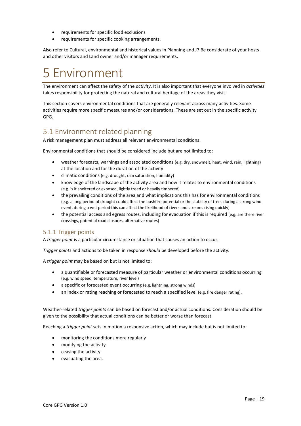- requirements for specific food exclusions
- requirements for specific cooking arrangements.

Also refer to [Cultural, environmental and historical values in Planning](#page-9-0) and [J7 Be considerate of your hosts](#page-58-0)  [and other visitors](#page-58-0) and Land [owner and/or manager requirements.](#page-22-0)

# <span id="page-18-0"></span>5 Environment

The environment can affect the safety of the *activity*. It is also important that everyone involved in *activities* takes responsibility for protecting the natural and cultural heritage of the areas they visit.

This section covers environmental conditions that are generally relevant across many activities. Some activities require more specific measures and/or considerations. These are set out in the specific activity GPG.

# <span id="page-18-1"></span>5.1 Environment related planning

A risk management plan must address all relevant environmental conditions.

Environmental conditions that should be considered include but are not limited to:

- weather forecasts, warnings and associated conditions (e.g. dry, snowmelt, heat, wind, rain, lightning) at the location and for the duration of the activity
- climatic conditions (e.g. drought, rain saturation, humidity)
- knowledge of the landscape of the activity area and how it relates to environmental conditions (e.g. is it sheltered or exposed, lightly treed or heavily timbered)
- the prevailing conditions of the area and what implications this has for environmental conditions (e.g. a long period of drought could affect the bushfire potential or the stability of trees during a strong wind event, during a wet period this can affect the likelihood of rivers and streams rising quickly)
- the potential access and egress routes, including for evacuation if this is required (e.g. are there river crossings, potential road closures, alternative routes)

#### <span id="page-18-2"></span>5.1.1 Trigger points

A *trigger point* is a particular circumstance or situation that causes an action to occur.

*Trigger points* and actions to be taken in response *should* be developed before the activity.

A *trigger point* may be based on but is not limited to:

- a quantifiable or forecasted measure of particular weather or environmental conditions occurring (e.g. wind speed, temperature, river level)
- a specific or forecasted event occurring (e.g. lightning, strong winds)
- an index or rating reaching or forecasted to reach a specified level (e.g. fire danger rating).

Weather-related *trigger points* can be based on forecast and/or actual conditions. Consideration should be given to the possibility that actual conditions can be better or worse than forecast.

Reaching a *trigger point* sets in motion a responsive action, which may include but is not limited to:

- monitoring the conditions more regularly
- modifying the activity
- ceasing the activity
- evacuating the area.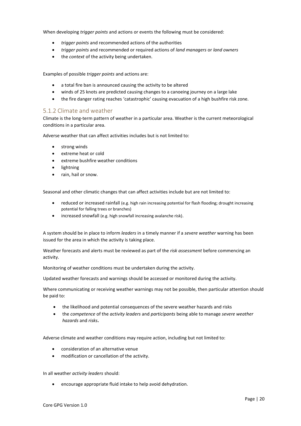When developing *trigger points* and actions or events the following must be considered:

- *trigger points* and recommended actions of the authorities
- *trigger points* and recommended or required actions of *land managers* or *land owners*
- the *context* of the activity being undertaken.

Examples of possible *trigger points* and actions are:

- a total fire ban is announced causing the activity to be altered
- winds of 25 knots are predicted causing changes to a canoeing journey on a large lake
- the fire danger rating reaches 'catastrophic' causing evacuation of a high bushfire risk zone.

#### <span id="page-19-0"></span>5.1.2 Climate and weather

Climate is the long-term pattern of weather in a particular area. Weather is the current meteorological conditions in a particular area.

Adverse weather that can affect activities includes but is not limited to:

- strong winds
- extreme heat or cold
- extreme bushfire weather conditions
- lightning
- rain, hail or snow.

Seasonal and other climatic changes that can affect activities include but are not limited to:

- reduced or increased rainfall (e.g. high rain increasing potential for flash flooding; drought increasing potential for falling trees or branches)
- increased snowfall (e.g. high snowfall increasing avalanche risk).

A system should be in place to inform *leaders* in a timely manner if a *severe weather* warning has been issued for the area in which the activity is taking place.

Weather forecasts and alerts must be reviewed as part of the *risk assessment* before commencing an activity.

Monitoring of weather conditions must be undertaken during the activity.

Updated weather forecasts and warnings should be accessed or monitored during the activity.

Where communicating or receiving weather warnings may not be possible, then particular attention should be paid to:

- the likelihood and potential consequences of the severe weather hazards and risks
- the *competence* of the *activity leaders* and *participants* being able to manage *severe weather hazards* and *risks***.**

Adverse climate and weather conditions may require action, including but not limited to:

- consideration of an alternative venue
- modification or cancellation of the activity.

In all weather *activity leaders* should:

• encourage appropriate fluid intake to help avoid dehydration.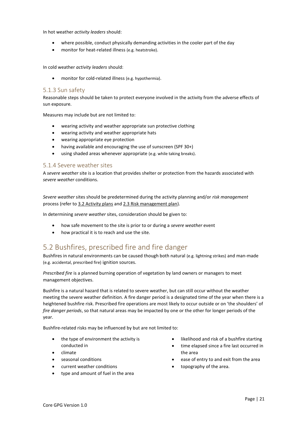In hot weather *activity leaders* should:

- where possible, conduct physically demanding activities in the cooler part of the day
- monitor for heat-related illness (e.g. heatstroke).

In cold weather *activity leaders* should:

• monitor for cold-related illness (e.g. hypothermia).

#### <span id="page-20-1"></span>5.1.3 Sun safety

Reasonable steps should be taken to protect everyone involved in the activity from the adverse effects of sun exposure.

Measures may include but are not limited to:

- wearing activity and weather appropriate sun protective clothing
- wearing activity and weather appropriate hats
- wearing appropriate eye protection
- having available and encouraging the use of sunscreen (SPF 30+)
- using shaded areas whenever appropriate (e.g. while taking breaks).

#### <span id="page-20-2"></span>5.1.4 Severe weather sites

A *severe weather* site is a location that provides shelter or protection from the hazards associated with *severe weather* conditions.

*Severe weather* sites should be predetermined during the activity planning and/or *risk management* process (refer t[o 3.2 Activity plans](#page-8-1) an[d 2.3 Risk management plan\)](#page-6-1).

In determining *severe weather* sites, consideration should be given to:

- how safe movement to the site is prior to or during a *severe weather* event
- how practical it is to reach and use the site.

# <span id="page-20-0"></span>5.2 Bushfires, prescribed fire and fire danger

Bushfires in natural environments can be caused though both natural (e.g. lightning strikes) and man-made (e.g. accidental, prescribed fire) ignition sources.

*Prescribed fire* is a planned burning operation of vegetation by land owners or managers to meet management objectives.

Bushfire is a natural hazard that is related to severe weather, but can still occur without the weather meeting the severe weather definition. A fire danger period is a designated time of the year when there is a heightened bushfire risk. Prescribed fire operations are most likely to occur outside or on 'the shoulders' of *fire danger periods*, so that natural areas may be impacted by one or the other for longer periods of the year.

Bushfire-related risks may be influenced by but are not limited to:

- the type of environment the activity is conducted in
- climate
- seasonal conditions
- current weather conditions
- type and amount of fuel in the area
- likelihood and risk of a bushfire starting
- time elapsed since a fire last occurred in the area
- ease of entry to and exit from the area
- topography of the area.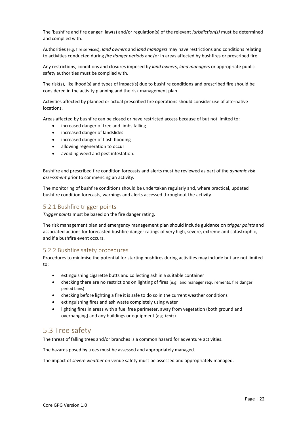The 'bushfire and fire danger' law(s) and/or regulation(s) of the relevant *jurisdiction(s)* must be determined and complied with.

Authorities (e.g. fire services), *land owners* and *land managers* may have restrictions and conditions relating to activities conducted during *fire danger periods* and/or in areas affected by bushfires or prescribed fire.

Any restrictions, conditions and closures imposed by *land owners*, *land managers* or appropriate public safety authorities must be complied with.

The risk(s), likelihood(s) and types of impact(s) due to bushfire conditions and prescribed fire should be considered in the activity planning and the risk management plan.

Activities affected by planned or actual prescribed fire operations should consider use of alternative locations.

Areas affected by bushfire can be closed or have restricted access because of but not limited to:

- increased danger of tree and limbs falling
- increased danger of landslides
- increased danger of flash flooding
- allowing regeneration to occur
- avoiding weed and pest infestation.

Bushfire and prescribed fire condition forecasts and alerts must be reviewed as part of the *dynamic risk assessment* prior to commencing an activity.

The monitoring of bushfire conditions should be undertaken regularly and, where practical, updated bushfire condition forecasts, warnings and alerts accessed throughout the activity.

#### <span id="page-21-0"></span>5.2.1 Bushfire trigger points

*Trigger points* must be based on the fire danger rating.

The risk management plan and emergency management plan should include guidance on *trigger points* and associated actions for forecasted bushfire danger ratings of very high, severe, extreme and catastrophic, and if a bushfire event occurs.

#### <span id="page-21-1"></span>5.2.2 Bushfire safety procedures

Procedures to minimise the potential for starting bushfires during activities may include but are not limited to:

- extinguishing cigarette butts and collecting ash in a suitable container
- checking there are no restrictions on lighting of fires (e.g. land manager requirements, fire danger period bans)
- checking before lighting a fire it is safe to do so in the current weather conditions
- extinguishing fires and ash waste completely using water
- lighting fires in areas with a fuel free perimeter, away from vegetation (both ground and overhanging) and any buildings or equipment (e.g. tents)

### <span id="page-21-2"></span>5.3 Tree safety

The threat of falling trees and/or branches is a common hazard for adventure activities.

The hazards posed by trees must be assessed and appropriately managed.

The impact of *severe weather* on venue safety must be assessed and appropriately managed.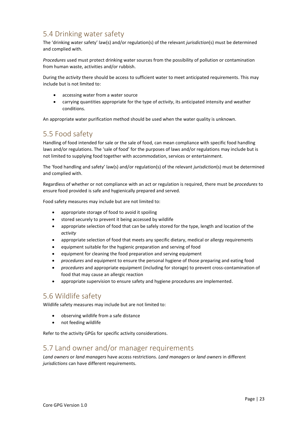# <span id="page-22-1"></span>5.4 Drinking water safety

The 'drinking water safety' law(s) and/or regulation(s) of the relevant *jurisdiction*(s) must be determined and complied with.

*Procedures* used must protect drinking water sources from the possibility of pollution or contamination from human waste, activities and/or rubbish.

During the *activity* there should be access to sufficient water to meet anticipated requirements. This may include but is not limited to:

- accessing water from a water source
- carrying quantities appropriate for the type of *activity*, its anticipated intensity and weather conditions.

An appropriate water purification method should be used when the water quality is unknown.

# <span id="page-22-2"></span>5.5 Food safety

Handling of food intended for sale or the sale of food, can mean compliance with specific food handling laws and/or regulations. The 'sale of food' for the purposes of laws and/or regulations may include but is not limited to supplying food together with accommodation, services or entertainment.

The 'food handling and safety' law(s) and/or regulation(s) of the relevant *jurisdiction*(s) must be determined and complied with.

Regardless of whether or not compliance with an act or regulation is required, there must be *procedures* to ensure food provided is safe and hygienically prepared and served.

Food safety measures may include but are not limited to:

- appropriate storage of food to avoid it spoiling
- stored securely to prevent it being accessed by wildlife
- appropriate selection of food that can be safely stored for the type, length and location of the *activity*
- appropriate selection of food that meets any specific dietary, medical or allergy requirements
- equipment suitable for the hygienic preparation and serving of food
- equipment for cleaning the food preparation and serving equipment
- *procedures* and equipment to ensure the personal hygiene of those preparing and eating food
- *procedures* and appropriate equipment (including for storage) to prevent cross-contamination of food that may cause an allergic reaction
- appropriate supervision to ensure safety and hygiene procedures are implemented.

# <span id="page-22-3"></span>5.6 Wildlife safety

Wildlife safety measures may include but are not limited to:

- observing wildlife from a safe distance
- not feeding wildlife

Refer to the activity GPGs for specific activity considerations.

# <span id="page-22-4"></span><span id="page-22-0"></span>5.7 Land owner and/or manager requirements

*Land owners* or *land managers* have access restrictions. *Land managers* or *land owners* in different *jurisdictions* can have different requirements.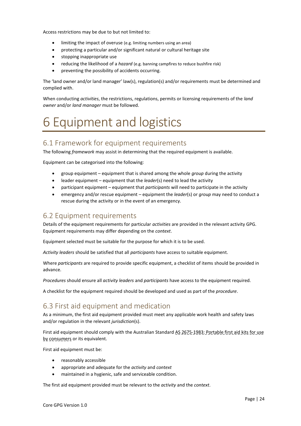Access restrictions may be due to but not limited to:

- limiting the impact of overuse (e.g. limiting numbers using an area)
- protecting a particular and/or significant natural or cultural heritage site
- stopping inappropriate use
- reducing the likelihood of a *hazard* (e.g. banning campfires to reduce bushfire risk)
- preventing the possibility of accidents occurring.

The 'land owner and/or land manager' law(s), regulation(s) and/or requirements must be determined and complied with.

When conducting *activities*, the restrictions, regulations, permits or licensing requirements of the *land owner* and/or *land manager* must be followed.

# <span id="page-23-0"></span>6 Equipment and logistics

# <span id="page-23-2"></span>6.1 Framework for equipment requirements

The following *framework* may assist in determining that the required equipment is available.

Equipment can be categorised into the following:

- group equipment equipment that is shared among the whole *group* during the activity
- leader equipment equipment that the *leader*(s) need to lead the activity
- participant equipment equipment that *participants* will need to participate in the activity
- emergency and/or rescue equipment equipment the *leader*(s) or *group* may need to conduct a rescue during the activity or in the event of an emergency.

### <span id="page-23-3"></span>6.2 Equipment requirements

Details of the equipment requirements for particular *activities* are provided in the relevant activity GPG. Equipment requirements may differ depending on the *context*.

Equipment selected must be suitable for the purpose for which it is to be used.

*Activity leaders* should be satisfied that all *participants* have access to suitable equipment.

Where *participants* are required to provide specific equipment, a checklist of items should be provided in advance.

*Procedures* should ensure all *activity leaders* and *participants* have access to the equipment required.

A checklist for the equipment required should be developed and used as part of the *procedure*.

# <span id="page-23-1"></span>6.3 First aid equipment and medication

As a minimum, the first aid equipment provided must meet any applicable work health and safety laws and/or regulation in the relevant *jurisdiction*(s).

First aid equipment should comply with the Australian Standard AS 2675-1983: Portable first aid kits for use by consumers or its equivalent.

First aid equipment must be:

- reasonably accessible
- appropriate and adequate for the *activity* and *context*
- maintained in a hygienic, safe and serviceable condition.

The first aid equipment provided must be relevant to the *activity* and the *context*.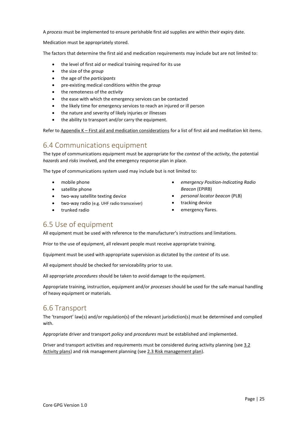A *process* must be implemented to ensure perishable first aid supplies are within their expiry date.

Medication must be appropriately stored.

The factors that determine the first aid and medication requirements may include but are not limited to:

- the level of first aid or medical training required for its use
- the size of the *group*
- the age of the *participants*
- pre-existing medical conditions within the *group*
- the remoteness of the *activity*
- the ease with which the emergency services can be contacted
- the likely time for emergency services to reach an injured or ill person
- the nature and severity of likely injuries or illnesses
- the ability to transport and/or carry the equipment.

Refer to Appendix K – [First aid and medication considerations](#page-59-0) for a list of first aid and meditation kit items.

# <span id="page-24-0"></span>6.4 Communications equipment

The type of communications equipment must be appropriate for the *context* of the *activity*, the potential *hazards* and *risks* involved, and the emergency response plan in place.

The type of communications system used may include but is not limited to:

- mobile phone
- satellite phone
- two-way satellite texting device
- two-way radio (e.g. UHF radio transceiver)
- trunked radio
- *emergency Position-Indicating Radio Beacon* (EPIRB)
- *personal locator beacon* (PLB)
- tracking device
- emergency flares.

# <span id="page-24-1"></span>6.5 Use of equipment

All equipment must be used with reference to the manufacturer's instructions and limitations.

Prior to the use of equipment, all relevant people must receive appropriate training.

Equipment must be used with appropriate supervision as dictated by the *context* of its use.

All equipment should be checked for serviceability prior to use.

All appropriate *procedures* should be taken to avoid damage to the equipment.

Appropriate training, instruction, equipment and/or *processes* should be used for the safe manual handling of heavy equipment or materials.

# <span id="page-24-2"></span>6.6 Transport

The 'transport' law(s) and/or regulation(s) of the relevant jurisdiction(s) must be determined and complied with.

Appropriate driver and transport *policy* and *procedures* must be established and implemented.

Driver and transport activities and requirements must be considered during activity planning (see 3.2 [Activity plans\)](#page-8-1) and risk management planning (se[e 2.3 Risk management plan\)](#page-6-1).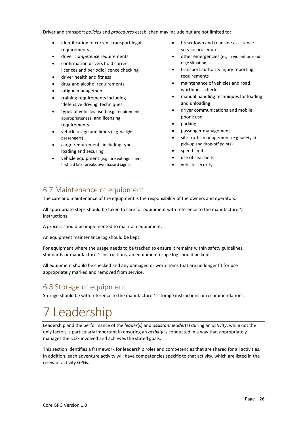Driver and transport *policies* and *procedures* established may include but are not limited to:

- identification of current transport legal requirements
- driver *competence* requirements
- confirmation drivers hold correct licences and periodic licence checking
- driver health and fitness
- drug and alcohol requirements
- fatigue management
- training requirements including 'defensive driving' techniques
- types of vehicles used (e.g. requirements, appropriateness) and licensing requirements
- vehicle usage and limits (e.g. weight, passengers)
- cargo requirements including types, loading and securing
- vehicle equipment (e.g. fire extinguishers, first aid kits, breakdown hazard signs)
- breakdown and roadside assistance service procedures
- other emergencies (e.g. a violent or road rage situation)
- transport authority injury reporting requirements
- maintenance of vehicles and road worthiness checks
- manual handling techniques for loading and unloading
- driver communications and mobile phone use
- parking
- passenger management
- site traffic management (e.g. safety at pick-up and drop-off points)
- speed limits
- use of seat belts
- vehicle security.

# <span id="page-25-1"></span>6.7 Maintenance of equipment

The care and maintenance of the equipment is the responsibility of the owners and operators.

All appropriate steps should be taken to care for equipment with reference to the manufacturer's instructions.

A *process* should be implemented to maintain equipment.

An equipment maintenance log should be kept.

For equipment where the usage needs to be tracked to ensure it remains within safety guidelines, standards or manufacturer's instructions, an equipment usage log should be kept.

All equipment should be checked and any damaged or worn items that are no longer fit for use appropriately marked and removed from service.

# <span id="page-25-2"></span>6.8 Storage of equipment

Storage should be with reference to the manufacturer's storage instructions or recommendations.

# <span id="page-25-0"></span>7 Leadership

Leadership and the performance of the *leader*(s) and *assistant leader*(s) during an *activity*, while not the only factor, is particularly important in ensuring an *activity* is conducted in a way that appropriately manages the *risks* involved and achieves the stated goals.

This section identifies a framework for leadership roles and competencies that are shared for all activities. In addition, each adventure activity will have competencies specific to that activity, which are listed in the relevant activity GPGs.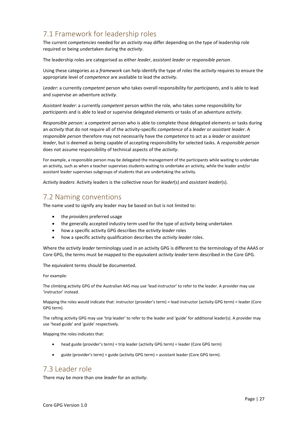# <span id="page-26-0"></span>7.1 Framework for leadership roles

The current *competencies* needed for an *activity* may differ depending on the type of leadership role required or being undertaken during the *activity*.

The leadership roles are categorised as either *leader*, *assistant leader* or *responsible person*.

Using these categories as a *framework* can help identify the type of roles the *activity* requires to ensure the appropriate level of *competence* are available to lead the *activity*.

*Leader:* a currently *competent* person who takes overall responsibility for *participants*, and is able to lead and supervise an adventure *activity*.

*Assistant leader*: a currently *competent* person within the role, who takes some responsibility for *participants* and is able to lead or supervise delegated elements or tasks of an adventure *activity*.

*Responsible person:* a *competent* person who is able to complete those delegated elements or tasks during an *activity* that do not require all of the activity-specific *competence* of a *leader* or *assistant leader*. A *responsible person* therefore may not necessarily have the *competence* to act as a *leader* or *assistant leader*, but is deemed as being capable of accepting responsibility for selected tasks. A *responsible person* does not assume responsibility of technical aspects of the *activity*.

For example, a responsible person may be delegated the management of the participants while waiting to undertake an activity, such as when a teacher supervises students waiting to undertake an activity, while the leader and/or assistant leader supervises subgroups of students that are undertaking the activity.

*Activity leaders*: Activity leaders is the collective noun for *leader*(s) and *assistant leader*(s).

#### <span id="page-26-2"></span>7.2 Naming conventions

The name used to signify any leader may be based on but is not limited to:

- the *providers* preferred usage
- the generally accepted industry term used for the type of *activity* being undertaken
- how a specific activity GPG describes the *activity leader* roles
- how a specific activity qualification describes the *activity leader* roles.

Where the *activity leader* terminology used in an activity GPG is different to the terminology of the AAAS or Core GPG, the terms must be mapped to the equivalent *activity leader* term described in the Core GPG.

The equivalent terms should be documented.

For example:

The climbing activity GPG of the Australian AAS may use 'lead instructor' to refer to the leader. A provider may use 'instructor' instead.

Mapping the roles would indicate that: instructor (provider's term) = lead instructor (activity GPG term) = leader (Core GPG term).

The rafting activity GPG may use 'trip leader' to refer to the leader and 'guide' for additional leader(s). A provider may use 'head guide' and 'guide' respectively.

Mapping the roles indicates that:

- head guide (provider's term) = trip leader (activity GPG term) = leader (Core GPG term)
- guide (provider's term) = guide (activity GPG term) = assistant leader (Core GPG term).

# <span id="page-26-1"></span>7.3 Leader role

There may be more than one *leader* for an *activity*.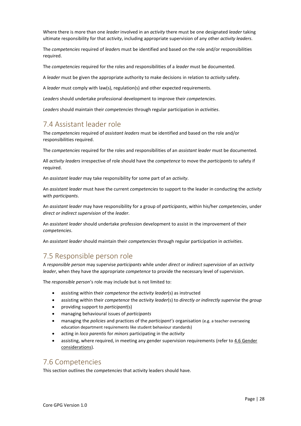Where there is more than one *leader* involved in an *activity* there must be one designated *leader* taking ultimate responsibility for that *activity*, including appropriate supervision of any other *activity leaders*.

The *competencies* required of *leader*s must be identified and based on the role and/or responsibilities required.

The *competencies* required for the roles and responsibilities of a *leader* must be documented.

A *leader* must be given the appropriate authority to make decisions in relation to *activity* safety.

A *leader* must comply with law(s), regulation(s) and other expected requirements.

*Leaders* should undertake professional development to improve their *competencies*.

*Leaders* should maintain their *competencies* through regular participation in *activities*.

# <span id="page-27-1"></span>7.4 Assistant leader role

The *competencies* required of *assistant leaders* must be identified and based on the role and/or responsibilities required.

The *competencies* required for the roles and responsibilities of an *assistant leader* must be documented.

All *activity leaders* irrespective of role should have the *competence* to move the *participants* to safety if required.

An *assistant leader* may take responsibility for some part of an *activity*.

An *assistant leader* must have the current *competencies* to support to the leader in conducting the *activity* with *participants*.

An *assistant leader* may have responsibility for a group of *participants*, within his/her *competencies*, under *direct or indirect supervision* of the *leader*.

An *assistant leader* should undertake profession development to assist in the improvement of their *competencies*.

An *assistant leader* should maintain their *competencies* through regular participation in *activities*.

### <span id="page-27-2"></span>7.5 Responsible person role

A *responsible person* may supervise *participants* while under *direct* or *indirect supervision* of an *activity leader*, when they have the appropriate *competence* to provide the necessary level of supervision.

The *responsible person*'s role may include but is not limited to:

- assisting within their *competence* the *activity leader*(s) as instructed
- assisting within their *competence* the *activity leader*(s) to *directly or indirectly supervise* the *group*
- providing support to *participant*(s)
- managing behavioural issues of *participants*
- managing the *policies* and practices of the *participant's* organisation (e.g. a teacher overseeing education department requirements like student behaviour standards)
- acting in *loco parentis* for *minors* participating in the *activity*
- assisting, where required, in meeting any gender supervision requirements (refer to [4.6 Gender](#page-17-0)  [considerations\)](#page-17-0).

#### <span id="page-27-0"></span>7.6 Competencies

This section outlines the *competencies* that activity leaders should have.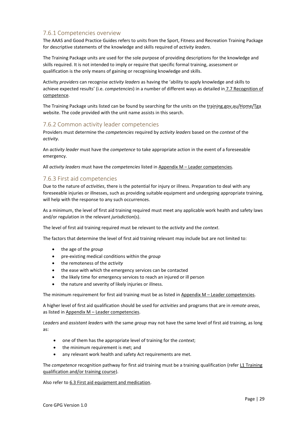#### <span id="page-28-0"></span>7.6.1 Competencies overview

The AAAS and Good Practice Guides refers to units from the Sport, Fitness and Recreation Training Package for descriptive statements of the knowledge and skills required of *activity leaders*.

The Training Package units are used for the sole purpose of providing descriptions for the knowledge and skills required. It is not intended to imply or require that specific formal training, assessment or qualification is the only means of gaining or recognising knowledge and skills.

Activity *providers* can recognise *activity leaders* as having the 'ability to apply knowledge and skills to achieve expected results' (i.e. *competencies*) in a number of different ways as detailed in [7.7 Recognition of](#page-29-0)  [competence.](#page-29-0)

The Training Package units listed can be found by searching for the units on the training.gov.au/Home/Tga website. The code provided with the unit name assists in this search.

#### <span id="page-28-1"></span>7.6.2 Common activity leader competencies

Providers must determine the *competencies* required by *activity leaders* based on the *context* of the *activity*.

An *activity leader* must have the *competence* to take appropriate action in the event of a foreseeable emergency.

All *activity leaders* must have the *competencies* listed in Appendix M – [Leader competencies.](#page-62-0)

#### <span id="page-28-2"></span>7.6.3 First aid competencies

Due to the nature of *activities*, there is the potential for injury or illness. Preparation to deal with any foreseeable injuries or illnesses, such as providing suitable equipment and undergoing appropriate training, will help with the response to any such occurrences.

As a minimum, the level of first aid training required must meet any applicable work health and safety laws and/or regulation in the relevant *jurisdiction*(s).

The level of first aid training required must be relevant to the *activity* and the *context*.

The factors that determine the level of first aid training relevant may include but are not limited to:

- the age of the *group*
- pre-existing medical conditions within the *group*
- the remoteness of the *activity*
- the ease with which the emergency services can be contacted
- the likely time for emergency services to reach an injured or ill person
- the nature and severity of likely injuries or illness.

The minimum requirement for first aid training must be as listed in  $\Delta p$  pendix  $M -$  [Leader competencies.](#page-62-0)

A higher level of first aid qualification should be used for *activities* and programs that are in *remote areas*, as listed in Appendix M – [Leader competencies.](#page-62-0)

*Leaders* and *assistant leaders* with the same *group* may not have the same level of first aid training, as long as:

- one of them has the appropriate level of training for the *context*;
- the minimum requirement is met; and
- any relevant work health and safety Act requirements are met.

The *competence* recognition pathway for first aid training must be a training qualification (refe[r L1 Training](#page-60-0)  [qualification and/or training course\)](#page-60-0).

Also refer to [6.3 First aid equipment and medication.](#page-23-1)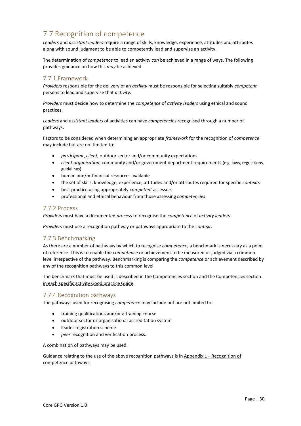# <span id="page-29-0"></span>7.7 Recognition of competence

*Leaders* and *assistant leaders* require a range of skills, knowledge, experience, attitudes and attributes along with sound judgment to be able to competently lead and supervise an activity.

The determination of *competence* to lead an activity *can* be achieved in a range of ways. The following provides guidance on how this *may* be achieved.

#### <span id="page-29-1"></span>7.7.1 Framework

*Providers* responsible for the delivery of an *activity* must be responsible for selecting suitably *competent* persons to lead and supervise that *activity*.

*Providers* must decide how to determine the *competence* of *activity leaders* using ethical and sound practices.

*Leaders* and *assistant leaders* of activities can have *competencies* recognised through a number of pathways.

Factors to be considered when determining an appropriate *framework* for the recognition of *competence* may include but are not limited to:

- *participant*, *client*, outdoor sector and/or community expectations
- *client organisation*, community and/or government department requirements (e.g. laws, regulations, guidelines)
- human and/or financial resources available
- the set of skills, knowledge, experience, attitudes and/or attributes required for specific *contexts*
- best practice using appropriately *competent* assessors
- professional and ethical behaviour from those assessing *competencies*.

#### <span id="page-29-2"></span>7.7.2 Process

*Providers* must have a documented *process* to recognise the *competence* of *activity leaders*.

*Providers* must use a recognition pathway or pathways appropriate to the *context*.

#### <span id="page-29-3"></span>7.7.3 Benchmarking

As there are a number of pathways by which to recognise *competence*, a benchmark is necessary as a point of reference. This is to enable the *competence* or achievement to be measured or judged via a common level irrespective of the pathway. Benchmarking is comparing the *competence* or achievement described by any of the recognition pathways to this common level.

The benchmark that must be used is described in th[e Competencies section](#page-27-0) and the Competencies section in each specific activity Good practice Guide.

#### <span id="page-29-4"></span>7.7.4 Recognition pathways

The pathways used for recognising *competence* may include but are not limited to:

- training qualifications and/or a training course
- outdoor sector or organisational accreditation system
- leader registration scheme
- *peer* recognition and verification process.

A combination of pathways may be used.

Guidance relating to the use of the above recognition pathways is in Appendix  $L -$  Recognition of [competence pathways.](#page-60-1)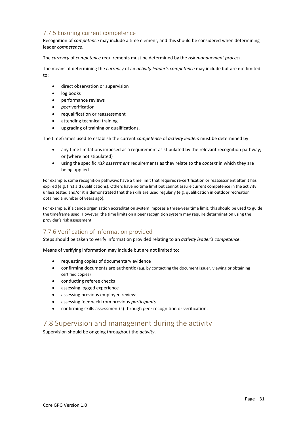### <span id="page-30-0"></span>7.7.5 Ensuring current competence

Recognition of *competence* may include a time element, and this should be considered when determining leader *competence*.

The *currency* of *competence* requirements must be determined by the *risk management process*.

The means of determining the *currency* of an *activity leader's competence* may include but are not limited to:

- direct observation or supervision
- log books
- performance reviews
- *peer* verification
- requalification or reassessment
- attending technical training
- upgrading of training or qualifications.

The timeframes used to establish the current *competence* of *activity leaders* must be determined by:

- any time limitations imposed as a requirement as stipulated by the relevant recognition pathway; or (where not stipulated)
- using the specific *risk assessment* requirements as they relate to the *context* in which they are being applied.

For example, some recognition pathways have a time limit that requires re-certification or reassessment after it has expired (e.g. first aid qualifications). Others have no time limit but cannot assure current competence in the activity unless tested and/or it is demonstrated that the skills are used regularly (e.g. qualification in outdoor recreation obtained a number of years ago).

For example, if a canoe organisation accreditation system imposes a three-year time limit, this should be used to guide the timeframe used. However, the time limits on a peer recognition system may require determination using the provider's risk assessment.

#### <span id="page-30-1"></span>7.7.6 Verification of information provided

Steps should be taken to verify information provided relating to an *activity leader's competence*.

Means of verifying information may include but are not limited to:

- requesting copies of documentary evidence
- confirming documents are authentic (e.g. by contacting the document issuer, viewing or obtaining certified copies)
- conducting referee checks
- assessing logged experience
- assessing previous employee reviews
- assessing feedback from previous *participants*
- confirming skills assessment(s) through *peer* recognition or verification.

# <span id="page-30-2"></span>7.8 Supervision and management during the activity

Supervision should be ongoing throughout the *activity*.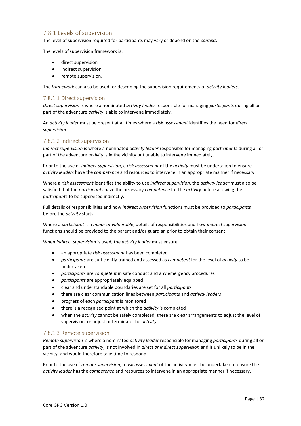#### <span id="page-31-0"></span>7.8.1 Levels of supervision

The level of supervision required for participants may vary or depend on the *context*.

The levels of supervision framework is:

- direct supervision
- indirect supervision
- remote supervision.

The *framework* can also be used for describing the supervision requirements of *activity leaders*.

#### 7.8.1.1 Direct supervision

*Direct supervision* is where a nominated *activity leader* responsible for managing *participants* during all or part of the adventure *activity* is able to intervene immediately.

An *activity leader* must be present at all times where a *risk assessment* identifies the need for *direct supervision*.

#### 7.8.1.2 Indirect supervision

*Indirect supervision* is where a nominated *activity leader* responsible for managing *participants* during all or part of the adventure *activity* is in the vicinity but unable to intervene immediately.

Prior to the use of *indirect supervision*, a *risk assessment* of the *activity* must be undertaken to ensure *activity leaders* have the *competence* and resources to intervene in an appropriate manner if necessary.

Where a *risk assessment* identifies the ability to use *indirect supervision*, the *activity leader* must also be satisfied that the *participants* have the necessary *competence* for the *activity* before allowing the *participants* to be supervised indirectly.

Full details of responsibilities and how *indirect supervision* functions must be provided to *participants* before the *activity* starts.

Where a *participant* is a *minor or vulnerable*, details of responsibilities and how *indirect supervision* functions should be provided to the parent and/or guardian prior to obtain their consent.

When *indirect supervision* is used, the *activity leader* must ensure:

- an appropriate *risk assessment* has been completed
- *participants* are sufficiently trained and assessed as *competent* for the level of *activity* to be undertaken
- *participants* are *competent* in safe conduct and any emergency procedures
- *participants* are appropriately equipped
- clear and understandable boundaries are set for all *participants*
- there are clear communication lines between *participants* and *activity leaders*
- progress of each *participant* is monitored
- there is a recognised point at which the *activity* is completed
- when the *activity* cannot be safely completed, there are clear arrangements to adjust the level of supervision, or adjust or terminate the *activity*.

#### 7.8.1.3 Remote supervision

*Remote supervision* is where a nominated *activity leader* responsible for managing *participants* during all or part of the adventure *activity*, is not involved in *direct or indirect supervision* and is unlikely to be in the vicinity, and would therefore take time to respond.

Prior to the use of *remote supervision*, a *risk assessment* of the activity must be undertaken to ensure the *activity leader* has the *competence* and resources to intervene in an appropriate manner if necessary.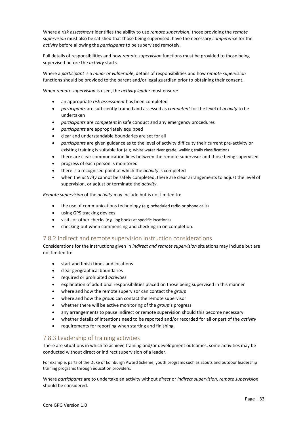Where a *risk assessment* identifies the ability to use *remote supervision*, those providing the *remote supervision* must also be satisfied that those being supervised, have the necessary *competence* for the *activity* before allowing the *participants* to be supervised remotely.

Full details of responsibilities and how *remote supervision* functions must be provided to those being supervised before the *activity* starts.

Where a *participant* is a *minor or vulnerable*, details of responsibilities and how *remote supervision* functions should be provided to the parent and/or legal guardian prior to obtaining their consent.

When *remote supervision* is used, the *activity leader* must ensure:

- an appropriate *risk assessment* has been completed
- *participants* are sufficiently trained and assessed as *competent* for the level of *activity* to be undertaken
- *participants* are *competent* in safe conduct and any emergency procedures
- *participants* are appropriately equipped
- clear and understandable boundaries are set for all
- *participants* are given guidance as to the level of activity difficulty their current pre-activity or existing training is suitable for (e.g. white water river grade, walking trails classification)
- there are clear communication lines between the remote supervisor and those being supervised
- progress of each person is monitored
- there is a recognised point at which the *activity* is completed
- when the *activity* cannot be safely completed, there are clear arrangements to adjust the level of supervision, or adjust or terminate the *activity*.

*Remote supervision* of the *activity* may include but is not limited to:

- the use of communications technology (e.g. scheduled radio or phone calls)
- using GPS tracking devices
- visits or other checks (e.g. log books at specific locations)
- checking-out when commencing and checking-in on completion.

#### <span id="page-32-0"></span>7.8.2 Indirect and remote supervision instruction considerations

Considerations for the instructions given in *indirect and remote supervision* situations may include but are not limited to:

- start and finish times and locations
- clear geographical boundaries
- required or prohibited *activities*
- explanation of additional responsibilities placed on those being supervised in this manner
- where and how the remote supervisor can contact the *group*
- where and how the *group* can contact the remote supervisor
- whether there will be active monitoring of the *group*'s progress
- any arrangements to pause indirect or remote supervision should this become necessary
- whether details of intentions need to be reported and/or recorded for all or part of the *activity*
- requirements for reporting when starting and finishing.

#### <span id="page-32-1"></span>7.8.3 Leadership of training activities

There are situations in which to achieve training and/or development outcomes, some activities may be conducted without direct or indirect supervision of a leader.

For example, parts of the Duke of Edinburgh Award Scheme, youth programs such as Scouts and outdoor leadership training programs through education providers.

Where *participants* are to undertake an activity without *direct* or *indirect supervision*, *remote supervision* should be considered.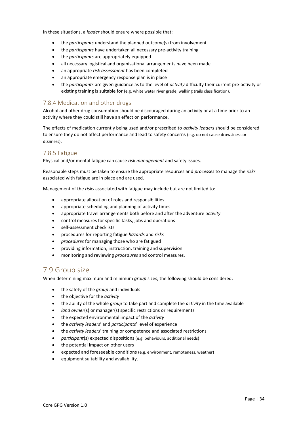In these situations, a *leader* should ensure where possible that:

- the *participants* understand the planned outcome(s) from involvement
- the *participants* have undertaken all necessary pre-activity training
- the *participants* are appropriately equipped
- all necessary logistical and organisational arrangements have been made
- an appropriate *risk assessment* has been completed
- an appropriate emergency response plan is in place
- the *participants* are given guidance as to the level of *activity* difficulty their current pre-activity or existing training is suitable for (e.g. white water river grade, walking trails classification).

#### <span id="page-33-1"></span>7.8.4 Medication and other drugs

Alcohol and other drug consumption should be discouraged during an activity or at a time prior to an activity where they could still have an effect on performance.

The effects of medication currently being used and/or prescribed to *activity leaders* should be considered to ensure they do not affect performance and lead to safety concerns (e.g. do not cause drowsiness or dizziness).

#### <span id="page-33-2"></span>7.8.5 Fatigue

Physical and/or mental fatigue can cause *risk management* and safety issues.

Reasonable steps must be taken to ensure the appropriate resources and *processes* to manage the *risks*  associated with fatigue are in place and are used.

Management of the *risks* associated with fatigue may include but are not limited to:

- appropriate allocation of roles and responsibilities
- appropriate scheduling and planning of activity times
- appropriate travel arrangements both before and after the adventure *activity*
- control measures for specific tasks, jobs and operations
- self-assessment checklists
- procedures for reporting fatigue *hazards* and *risks*
- *procedures* for managing those who are fatigued
- providing information, instruction, training and supervision
- monitoring and reviewing *procedures* and control measures.

# <span id="page-33-0"></span>7.9 Group size

When determining maximum and minimum *group* sizes, the following should be considered:

- the safety of the *group* and individuals
- the objective for the *activity*
- the ability of the whole *group* to take part and complete the *activity* in the time available
- *land owner*(s) or manager(s) specific restrictions or requirements
- the expected environmental impact of the *activity*
- the *activity leaders*' and *participants*' level of experience
- the *activity leaders*' training or competence and associated restrictions
- *participant*(s) expected dispositions (e.g. behaviours, additional needs)
- the potential impact on other users
- expected and foreseeable conditions (e.g. environment, remoteness, weather)
- equipment suitability and availability.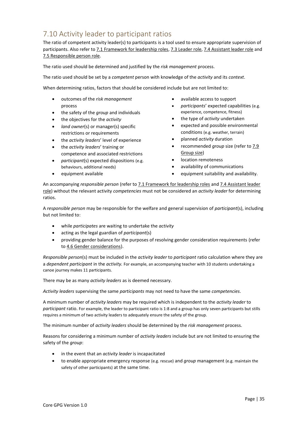# <span id="page-34-0"></span>7.10 Activity leader to participant ratios

The ratio of competent activity leader(s) to participants is a tool used to ensure appropriate supervision of participants. Also refer to [7.1 Framework for leadership roles,](#page-26-0) [7.3 Leader role,](#page-26-1) [7.4 Assistant leader role](#page-27-1) and [7.5 Responsible person role.](#page-27-2)

The ratio used should be determined and justified by the *risk management* process.

The ratio used should be set by a *competent* person with knowledge of the *activity* and its *context*.

When determining ratios, factors that should be considered include but are not limited to:

- outcomes of the *risk management* process
- the safety of the *group* and individuals
- the objectives for the *activity*
- *land owner*(s) or manager(s) specific restrictions or requirements
- the *activity leaders*' level of experience
- the *activity leaders*' training or competence and associated restrictions
- *participant*(s) expected dispositions (e.g. behaviours, additional needs)
- equipment available
- available access to support
- *participants*' expected capabilities (e.g. experience, competence, fitness)
- the type of *activity* undertaken
- expected and possible environmental conditions (e.g. weather, terrain)
- planned *activity* duration
- recommended *group* size (refer t[o 7.9](#page-33-0)  [Group size\)](#page-33-0)
- location remoteness
- availability of communications
- equipment suitability and availability.

An accompanying *responsible person* (refer to [7.1 Framework for leadership roles](#page-26-0) an[d 7.4 Assistant leader](#page-27-1)  [role\)](#page-27-1) without the relevant activity *competencies* must not be considered an *activity leader* for determining ratios.

A *responsible person* may be responsible for the welfare and general supervision of *participant*(s), including but not limited to:

- while *participates* are waiting to undertake the *activity*
- acting as the legal guardian of *participant*(s)
- providing gender balance for the purposes of resolving gender consideration requirements (refer to [4.6 Gender considerations\)](#page-17-0).

*Responsible person*(s) must be included in the *activity leader* to *participant* ratio calculation where they are a *dependent participant* in the *activity.* For example, an accompanying teacher with 10 students undertaking a canoe journey makes 11 participants.

There may be as many *activity leaders* as is deemed necessary.

*Activity leaders* supervising the same *participants* may not need to have the same *competencies*.

A minimum number of *activity leaders* may be required which is independent to the *activity leader* to *participant* ratio. For example, the leader to participant ratio is 1:8 and a group has only seven participants but stills requires a minimum of two activity leaders to adequately ensure the safety of the group.

The minimum number of *activity leaders* should be determined by the *risk management* process.

Reasons for considering a minimum number of *activity leaders* include but are not limited to ensuring the safety of the *group*:

- in the event that an *activity leader* is incapacitated
- to enable appropriate emergency response (e.g. rescue) and *group* management (e.g. maintain the safety of other participants) at the same time.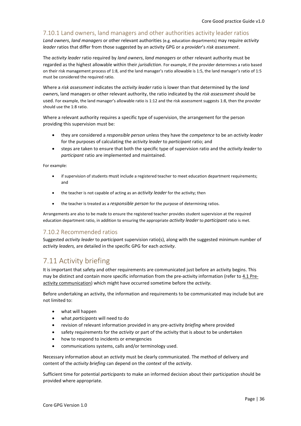#### <span id="page-35-1"></span>7.10.1 Land owners, land managers and other authorities activity leader ratios

*Land owners*, *land managers* or other relevant authorities (e.g. education departments) may require *activity leader* ratios that differ from those suggested by an activity GPG or a *provider*'s *risk assessment*.

The *activity leader* ratio required by *land owners*, *land managers* or other relevant authority must be regarded as the highest allowable within their *jurisdiction*. For example, if the provider determines a ratio based on their risk management process of 1:8, and the land manager's ratio allowable is 1:5, the land manager's ratio of 1:5 must be considered the required ratio.

Where a *risk assessment* indicates the *activity leader* ratio is lower than that determined by the *land owner*s, land managers or other relevant authority, the ratio indicated by the *risk assessment* should be used. For example, the land manager's allowable ratio is 1:12 and the risk assessment suggests 1:8, then the provider should use the 1:8 ratio.

Where a relevant authority requires a specific type of supervision, the arrangement for the person providing this supervision must be:

- they are considered a *responsible person* unless they have the *competence* to be an *activity leader* for the purposes of calculating the *activity leader* to *participant* ratio; and
- steps are taken to ensure that both the specific type of supervision ratio and the *activity leader* to *participant* ratio are implemented and maintained.

For example:

- if supervision of students must include a registered teacher to meet education department requirements; and
- the teacher is not capable of acting as an *activity leader* for the activity; then
- the teacher is treated as a *responsible person* for the purpose of determining ratios.

Arrangements are also to be made to ensure the registered teacher provides student supervision at the required education department ratio, in addition to ensuring the appropriate *activity leader* to *participant* ratio is met.

#### <span id="page-35-2"></span>7.10.2 Recommended ratios

Suggested *activity leader* to *participan*t supervision ratio(s), along with the suggested minimum number of *activity leaders,* are detailed in the specific GPG for each *activity*.

# <span id="page-35-0"></span>7.11 Activity briefing

It is important that safety and other requirements are communicated just before an activity begins. This may be distinct and contain more specific information from the pre-activity information (refer t[o 4.1 Pre](#page-13-3)[activity communication\)](#page-13-3) which might have occurred sometime before the *activity*.

Before undertaking an activity, the information and requirements to be communicated may include but are not limited to:

- what will happen
- what *participants* will need to do
- revision of relevant information provided in any pre-activity *briefing* where provided
- safety requirements for the *activity* or part of the activity that is about to be undertaken
- how to respond to incidents or emergencies
- communications systems, calls and/or terminology used.

Necessary information about an *activity* must be clearly communicated. The method of delivery and content of the *activity briefing* can depend on the *context* of the *activity*.

Sufficient time for potential *participants* to make an informed decision about their participation should be provided where appropriate.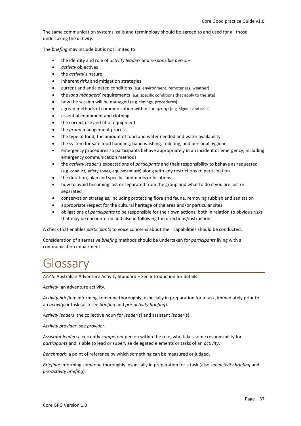The same communication systems, calls and terminology should be agreed to and used for all those undertaking the *activity*.

The *briefing* may include but is not limited to:

- the identity and role of *activity leaders* and *responsible persons*
- *activity* objectives
- the *activity*'s nature
- inherent *risks* and mitigation strategies
- current and anticipated conditions (e.g. environment, remoteness, weather)
- the *land managers*' requirements (e.g. specific conditions that apply to the site)
- how the session will be managed (e.g. timings, procedures)
- agreed methods of communication within the *group* (e.g. signals and calls)
- essential equipment and clothing
- the correct use and fit of equipment
- the *group* management process
- the type of food, the amount of food and water needed and water availability
- the system for safe food handling, hand washing, toileting, and personal hygiene
- emergency procedures so participants behave appropriately in an incident or emergency, including emergency communication methods
- the *activity leader's* expectations of *participants* and their responsibility to behave as requested (e.g. conduct, safety zones, equipment use) along with any restrictions to participation
- the duration, plan and specific landmarks or locations
- how to avoid becoming lost or separated from the group and what to do if you are lost or separated
- conservation strategies, including protecting flora and fauna, removing rubbish and sanitation
- appropriate respect for the cultural heritage of the area and/or particular sites
- obligations of *participants* to be responsible for their own actions, both in relation to obvious *risks* that may be encountered and also in following the directions/instructions.

A check that enables *participants* to voice concerns about their capabilities should be conducted.

Consideration of alternative *briefing* methods should be undertaken for *participants* living with a communication impairment.

# <span id="page-36-0"></span>Glossary

*AAAS*: Australian Adventure Activity Standard – See Introduction for details.

*Activity*: an adventure activity.

*Activity briefing*: informing someone thoroughly, especially in preparation for a task, immediately prior to an *activity* or task (also see *briefing* and *pre-activity briefing*).

*Activity leaders*: the collective noun for *leader*(s) and assistant *leader*(s).

*Activity provider*: see *provider*.

*Assistant leader*: a currently *competent* person within the role, who takes some responsibility for *participants* and is able to lead or supervise delegated elements or tasks of an *activity*.

*Benchmark*: a point of reference by which something can be measured or judged.

*Briefing*: informing someone thoroughly, especially in preparation for a task (also see *activity briefing* and *pre-activity briefing*).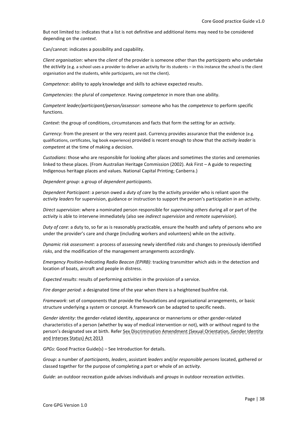But not limited to: indicates that a list is not definitive and additional items may need to be considered depending on the *context*.

Can/cannot: indicates a possibility and capability.

*Client organisation*: where the *client* of the provider is someone other than the *participants* who undertake the *activity* (e.g. a school uses a provider to deliver an activity for its students – in this instance the school is the client organisation and the students, while participants, are not the client).

*Competence*: ability to apply knowledge and skills to achieve expected results.

*Competencies*: the plural of *competence*. Having *competence* in more than one ability.

*Competent leader/participant/person/assessor*: someone who has the *competence* to perform specific functions.

*Context*: the group of conditions, circumstances and facts that form the setting for an *activity*.

*Currency*: from the present or the very recent past. Currency provides assurance that the evidence (e.g. qualifications, certificates, log book experience) provided is recent enough to show that the *activity leader* is *competent* at the time of making a decision.

*Custodians*: those who are responsible for looking after places and sometimes the stories and ceremonies linked to these places. (From Australian Heritage Commission (2002). Ask First – A guide to respecting Indigenous heritage places and values. National Capital Printing; Canberra.)

*Dependent group*: a group of *dependent participants*.

*Dependent Participant*: a person owed a *duty of care* by the activity provider who is reliant upon the *activity leaders* for supervision, guidance or instruction to support the person's participation in an activity.

*Direct supervision*: where a nominated person responsible for *supervising others* during all or part of the *activity* is able to intervene immediately (also see *indirect supervision* and *remote supervision*).

*Duty of care*: a duty to, so far as is reasonably practicable, ensure the health and safety of persons who are under the provider's care and charge (including workers and volunteers) while on the activity.

*Dynamic risk assessment*: a process of assessing newly identified *risks* and changes to previously identified *risks*, and the modification of the management arrangements accordingly.

*Emergency Position-Indicating Radio Beacon (EPIRB)*: tracking transmitter which aids in the detection and location of boats, aircraft and people in distress.

*Expected results*: results of performing *activities* in the provision of a service.

*Fire danger period*: a designated time of the year when there is a heightened bushfire *risk*.

*Framework*: set of components that provide the foundations and organisational arrangements, or basic structure underlying a system or concept. A framework can be adapted to specific needs.

*Gender identity*: the gender-related identity, appearance or mannerisms or other gender-related characteristics of a person (whether by way of medical intervention or not), with or without regard to the person's designated sex at birth*.* Refer Sex Discrimination Amendment (Sexual Orientation, Gender Identity and Intersex Status) Act 2013

*GPGs*: Good Practice Guide(s) – See Introduction for details.

*Group*: a number of *participants*, *leaders*, assistant *leaders* and/or *responsible persons* located, gathered or classed together for the purpose of completing a part or whole of an *activity*.

*Guide*: an outdoor recreation guide advises individuals and *groups* in outdoor recreation *activities*.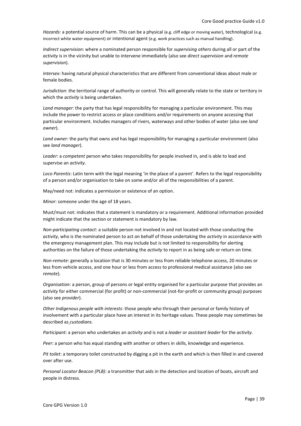*Hazards:* a potential source of harm. This can be a physical (e.g. cliff edge or moving water), technological (e.g. incorrect white water equipment) or intentional agent (e.g. work practices such as manual handling).

*Indirect supervision*: where a nominated person responsible for *supervising others* during all or part of the *activity* is in the vicinity but unable to intervene immediately (also see *direct supervision* and *remote supervision*).

*Intersex*: having natural physical characteristics that are different from conventional ideas about male or female bodies.

*Jurisdiction*: the territorial range of authority or control. This will generally relate to the state or territory in which the *activity* is being undertaken.

*Land manager*: the party that has legal responsibility for managing a particular environment. This may include the power to restrict access or place conditions and/or requirements on anyone accessing that particular environment. Includes managers of rivers, waterways and other bodies of water (also see *land owner*).

*Land owner*: the party that owns and has legal responsibility for managing a particular environment (also see *land manager*).

*Leader*: a *competent* person who takes responsibility for people involved in, and is able to lead and supervise an *activity*.

*Loco Parentis*: Latin term with the legal meaning 'in the place of a parent'. Refers to the legal responsibility of a person and/or organisation to take on some and/or all of the responsibilities of a parent.

May/need not: indicates a permission or existence of an option.

*Minor*: someone under the age of 18 years.

Must/must not: indicates that a statement is mandatory or a requirement. Additional information provided might indicate that the section or statement is mandatory by law.

*Non-participating contact*: a suitable person not involved in and not located with those conducting the *activity*, who is the nominated person to act on behalf of those undertaking the *activity* in accordance with the emergency management plan. This may include but is not limited to responsibility for alerting authorities on the failure of those undertaking the *activity* to report in as being safe or return on time.

*Non-remote*: generally a location that is 30 minutes or less from reliable telephone access, 20 minutes or less from vehicle access, and one hour or less from access to professional medical assistance (also see *remote*).

*Organisation*: a person, group of persons or legal entity organised for a particular purpose that provides an *activity* for either commercial (for profit) or non-commercial (not-for-profit or community group) purposes (also see *provider*).

*Other Indigenous people with interests*: those people who through their personal or family history of involvement with a particular place have an interest in its heritage values. These people may sometimes be described as *custodians*.

*Participant*: a person who undertakes an *activity* and is not a *leader* or *assistant leader* for the *activity*.

*Peer*: a person who has equal standing with another or others in skills, knowledge and experience.

*Pit toilet*: a temporary toilet constructed by digging a pit in the earth and which is then filled in and covered over after use.

*Personal Locator Beacon (PLB)*: a transmitter that aids in the detection and location of boats, aircraft and people in distress.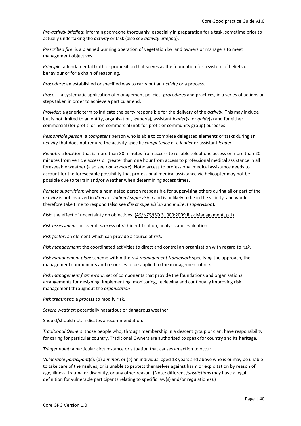*Pre-activity briefing*: informing someone thoroughly, especially in preparation for a task, sometime prior to actually undertaking the *activity* or task (also see *activity briefing*).

*Prescribed fire*: is a planned burning operation of vegetation by land owners or managers to meet management objectives.

*Principle*: a fundamental truth or proposition that serves as the foundation for a system of beliefs or behaviour or for a chain of reasoning.

*Procedure*: an established or specified way to carry out an *activity* or a process.

*Process*: a systematic application of management policies, *procedures* and practices, in a series of actions or steps taken in order to achieve a particular end.

*Provider*: a generic term to indicate the party responsible for the delivery of the *activity*. This may include but is not limited to an entity, organisation, *leader*(s), assistant *leader*(s) or *guide*(s) and for either commercial (for profit) or non-commercial (not-for-profit or community group) purposes.

*Responsible person*: a *competent* person who is able to complete delegated elements or tasks during an *activity* that does not require the activity-specific *competence* of a *leader* or assistant *leader*.

*Remote*: a location that is more than 30 minutes from access to reliable telephone access or more than 20 minutes from vehicle access or greater than one hour from access to professional medical assistance in all foreseeable weather (also see *non-remote*). Note: access to professional medical assistance needs to account for the foreseeable possibility that professional medical assistance via helicopter may not be possible due to terrain and/or weather when determining access times.

*Remote supervision*: where a nominated person responsible for supervising others during all or part of the *activity* is not involved in *direct* or *indirect supervision* and is unlikely to be in the vicinity, and would therefore take time to respond (also see *direct supervision* and *indirect supervision*).

*Risk*: the effect of uncertainty on objectives. (AS/NZS/ISO 31000:2009 Risk Management, p.1)

*Risk assessment:* an overall *process* of *risk* identification, analysis and evaluation.

*Risk factor*: an element which can provide a source of *risk*.

*Risk management*: the coordinated activities to direct and control an organisation with regard to *risk*.

*Risk management plan*: scheme within the *risk management framework* specifying the approach, the management components and resources to be applied to the management of risk

*Risk management framework*: set of components that provide the foundations and organisational arrangements for designing, implementing, monitoring, reviewing and continually improving risk management throughout the *organisation*

*Risk treatment*: a *process* to modify risk.

*Severe weather*: potentially hazardous or dangerous weather.

Should/should not: indicates a recommendation.

*Traditional Owners*: those people who, through membership in a descent group or clan, have responsibility for caring for particular country. Traditional Owners are authorised to speak for country and its heritage.

*Trigger point*: a particular circumstance or situation that causes an action to occur.

*Vulnerable participant*(s): (a) a *minor*; or (b) an individual aged 18 years and above who is or may be unable to take care of themselves, or is unable to protect themselves against harm or exploitation by reason of age, illness, trauma or disability, or any other reason. (Note: different *jurisdiction*s may have a legal definition for vulnerable participants relating to specific law(s) and/or regulation(s).)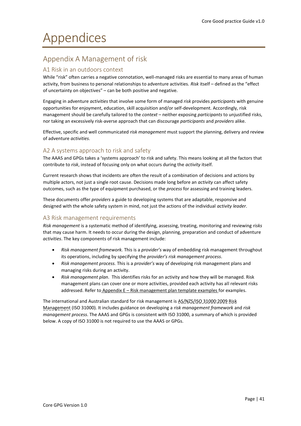# <span id="page-40-0"></span>Appendices

# <span id="page-40-1"></span>Appendix A Management of risk

#### <span id="page-40-2"></span>A1 Risk in an outdoors context

While "risk" often carries a negative connotation, well-managed risks are essential to many areas of human activity, from business to personal relationships to adventure activities. *Risk* itself – defined as the "effect of uncertainty on objectives" – can be both positive and negative.

Engaging in adventure *activities* that involve some form of managed *risk* provides *participants* with genuine opportunities for enjoyment, education, skill acquisition and/or self-development. Accordingly, risk management should be carefully tailored to the *context* – neither exposing *participants* to unjustified risks, nor taking an excessively risk-averse approach that can discourage *participants* and *providers* alike.

Effective, specific and well communicated *risk management* must support the planning, delivery and review of adventure *activities*.

#### <span id="page-40-3"></span>A2 A systems approach to risk and safety

The AAAS and GPGs takes a 'systems approach' to risk and safety. This means looking at all the factors that contribute to *risk*, instead of focusing only on what occurs during the *activity* itself.

Current research shows that incidents are often the result of a combination of decisions and actions by multiple actors, not just a single root cause. Decisions made long before an *activity* can affect safety outcomes, such as the type of equipment purchased, or the *process* for assessing and training leaders.

These documents offer *providers* a guide to developing systems that are adaptable, responsive and designed with the whole safety system in mind, not just the actions of the individual *activity leader*.

#### <span id="page-40-4"></span>A3 Risk management requirements

*Risk management* is a systematic method of identifying, assessing, treating, monitoring and reviewing *risks* that may cause harm. It needs to occur during the design, planning, preparation and conduct of adventure *activities*. The key components of risk management include:

- *Risk management framework.* This is a *provider's* way of embedding risk management throughout its operations, including by specifying the *provider's risk management process*.
- *Risk management process.* This is a *provider's* way of developing risk management plans and managing risks during an activity.
- *Risk management plan.* This identifies risks for an activity and how they will be managed. Risk management plans can cover one or more activities, provided each activity has all relevant risks addressed. Refer to Appendix  $E -$  [Risk management plan template examples](#page-49-0) for examples.

The international and Australian standard for risk management is AS/NZS/ISO 31000:2009 Risk Management (ISO 31000). It includes guidance on developing a *risk management framework* and *risk management process*. The AAAS and GPGs is consistent with ISO 31000, a summary of which is provided below. A copy of ISO 31000 is not required to use the AAAS or GPGs.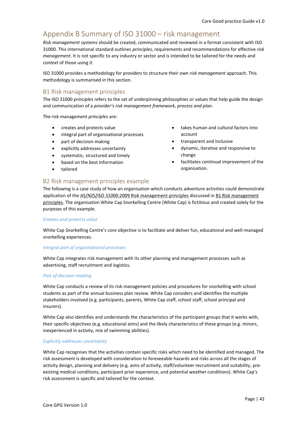# <span id="page-41-0"></span>Appendix B Summary of ISO 31000 – risk management

*Risk management* systems should be created, communicated and reviewed in a format consistent with ISO 31000. This international standard outlines *principles*, requirements and recommendations for effective *risk management*. It is not specific to any industry or sector and is intended to be tailored for the needs and *context* of those using it.

ISO 31000 provides a methodology for *providers* to structure their own *risk management* approach. This methodology is summarised in this section.

#### <span id="page-41-1"></span>B1 Risk management principles

The ISO 31000 *principles* refers to the set of underpinning philosophies or values that help guide the design and communication of a *provider's risk management framework, process and plan*.

The risk management *principles* are:

- creates and protects value
- integral part of organisational processes
- part of decision-making
- explicitly addresses uncertainty
- systematic, structured and timely
- based on the best information
- tailored

#### • takes human and cultural factors into account

- transparent and inclusive
- dynamic, iterative and responsive to change
- facilitates continual improvement of the organisation.

#### <span id="page-41-2"></span>B2 Risk management principles example

The following is a case study of how an organisation which conducts adventure activities could demonstrate application of the AS/NZS/ISO 31000:2009 Risk management principles discussed in B1 Risk management [principles.](#page-41-1) The organisation White Cap Snorkelling Centre (White Cap) is fictitious and created solely for the purposes of this example.

#### *Creates and protects value*

White Cap Snorkelling Centre's core objective is to facilitate and deliver fun, educational and well-managed snorkelling experiences.

#### *Integral part of organisational processes*

White Cap integrates risk management with its other planning and management processes such as advertising, staff recruitment and logistics.

#### *Part of decision-making*

White Cap conducts a review of its risk management policies and procedures for snorkelling with school students as part of the annual business plan review. White Cap considers and identifies the multiple stakeholders involved (e.g. participants, parents, White Cap staff, school staff, school principal and insurers).

White Cap also identifies and understands the characteristics of the participant groups that it works with, their specific objectives (e.g. educational aims) and the likely characteristics of these groups (e.g. minors, inexperienced in activity, mix of swimming abilities).

#### *Explicitly addresses uncertainty*

White Cap recognises that the activities contain specific risks which need to be identified and managed. The risk assessment is developed with consideration to foreseeable hazards and risks across all the stages of activity design, planning and delivery (e.g. aims of activity, staff/volunteer recruitment and suitability, preexisting medical conditions, participant prior experience, and potential weather conditions). White Cap's risk assessment is specific and tailored for the context.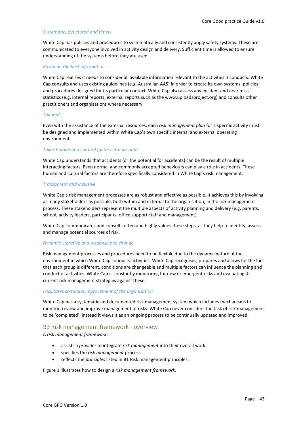#### *Systematic, structured and timely*

White Cap has policies and procedures to systematically and consistently apply safety systems. These are communicated to everyone involved in activity design and delivery. Sufficient time is allowed to ensure understanding of the systems before they are used.

#### *Based on the best information*

White Cap realises it needs to consider all available information relevant to the activities it conducts. White Cap consults and uses existing guidelines (e.g. Australian AAS) in order to create its own systems, policies and procedures designed for its particular context. White Cap also assess any incident and near miss statistics (e.g. internal reports, external reports such as the www.uploadsproject.org) and consults other practitioners and organisations where necessary.

#### *Tailored*

Even with the assistance of the external resources, each *risk management plan* for a specific activity must be designed and implemented within White Cap's own specific internal and external operating environment.

#### *Takes human and cultural factors into account*

White Cap understands that accidents (or the potential for accidents) can be the result of multiple interacting factors. Even normal and commonly accepted behaviours can play a role in accidents. These human and cultural factors are therefore specifically considered in White Cap's risk management.

#### *Transparent and inclusive*

White Cap's risk management processes are as robust and effective as possible. It achieves this by involving as many stakeholders as possible, both within and external to the organisation, in the risk management process. These stakeholders represent the multiple aspects of activity planning and delivery (e.g. parents, school, activity leaders, participants, office support staff and management).

White Cap communicates and consults often and highly values these steps, as they help to identify, assess and manage potential sources of risk.

#### *Dynamic, iterative and responsive to change*

Risk management processes and procedures need to be flexible due to the dynamic nature of the environment in which White Cap conducts activities. White Cap recognises, prepares and allows for the fact that each group is different, conditions are changeable and multiple factors can influence the planning and conduct of activities. White Cap is constantly monitoring for new or emergent risks and evaluating its current risk management strategies against these.

#### *Facilitates continual improvement of the organisation*

White Cap has a systematic and documented risk management system which includes mechanisms to monitor, review and improve management of risks. White Cap never considers the task of risk management to be 'completed', instead it views it as an ongoing process to be continually updated and improved.

#### <span id="page-42-0"></span>B3 Risk management framework - overview

A *risk management framework*:

- assists a *provider* to integrate *risk management* into their overall work
- specifies the *risk management* process
- reflects the *principles* listed i[n B1 Risk management principles.](#page-41-1)

[Figure 1](#page-43-0) illustrates how to design a *risk management framework*.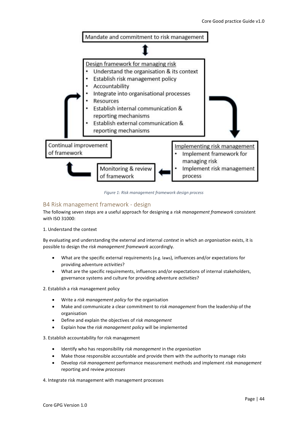

*Figure 1: Risk management framework design process*

#### <span id="page-43-1"></span><span id="page-43-0"></span>B4 Risk management framework - design

The following seven steps are a useful approach for designing a *risk management framework* consistent with ISO 31000:

1. Understand the context

By evaluating and understanding the external and internal *context* in which an *organisation* exists, it is possible to design the *risk management framework* accordingly.

- What are the specific external requirements (e.g. laws), influences and/or expectations for providing adventure *activities*?
- What are the specific requirements, influences and/or expectations of internal stakeholders, governance systems and culture for providing adventure *activities*?

2. Establish a risk management policy

- Write a *risk management policy* for the organisation
- Make and communicate a clear commitment to *risk management* from the leadership of the organisation
- Define and explain the objectives of *risk management*
- Explain how the *risk management policy* will be implemented

3. Establish accountability for risk management

- Identify who has responsibility *risk management* in the *organisation*
- Make those responsible accountable and provide them with the authority to manage *risks*
- Develop *risk management* performance measurement methods and implement *risk management* reporting and review *processes*

4. Integrate risk management with management processes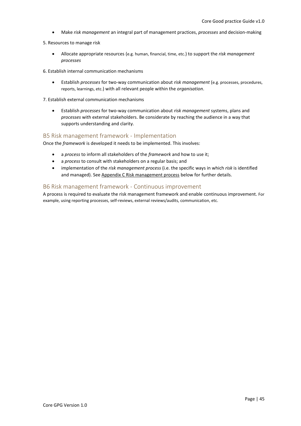- Make *risk management* an integral part of management practices, *processes* and decision-making
- 5. Resources to manage risk
	- Allocate appropriate resources (e.g. human, financial, time, etc.) to support the *risk management processes*
- 6. Establish internal communication mechanisms
	- Establish *processes* for two-way communication about *risk management* (e.g. processes, procedures, reports, learnings, etc.) with all relevant people within the *organisation*.
- 7. Establish external communication mechanisms
	- Establish *processes* for two-way communication about *risk management* systems, plans and *processes* with external stakeholders. Be considerate by reaching the audience in a way that supports understanding and clarity.

#### <span id="page-44-0"></span>B5 Risk management framework - Implementation

Once the *framework* is developed it needs to be implemented. This involves:

- a *process* to inform all stakeholders of the *framework* and how to use it;
- a *process* to consult with stakeholders on a regular basis; and
- implementation of the *risk management process* (i.e. the specific ways in which *risk* is identified and managed). See [Appendix C Risk management process](#page-45-0) below for further details.

#### <span id="page-44-1"></span>B6 Risk management framework - Continuous improvement

A process is required to evaluate the risk management framework and enable continuous improvement. For example, using reporting processes, self-reviews, external reviews/audits, communication, etc.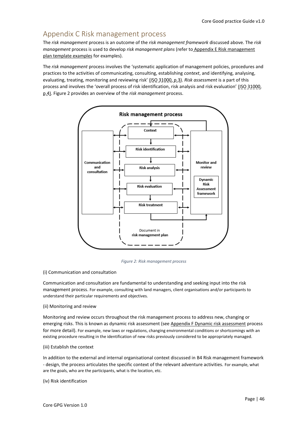# <span id="page-45-0"></span>Appendix C Risk management process

The *risk management* process is an outcome of the *risk management framework* discussed above. The *risk management* process is used to develop *risk management plans* (refer to [Appendix E Risk management](#page-49-0)  [plan template examples](#page-49-0) for examples).

The *risk management* process involves the 'systematic application of management policies, procedures and practices to the activities of communicating, consulting, establishing *context*, and identifying, analysing, evaluating, treating, monitoring and reviewing risk' (ISO 31000, p.3). Risk assessment is a part of this process and involves the 'overall process of risk identification, risk analysis and risk evaluation' (ISO 31000, p.4). [Figure 2](#page-45-1) provides an overview of the *risk management* process.



*Figure 2: Risk management process*

#### <span id="page-45-1"></span>(i) Communication and consultation

Communication and consultation are fundamental to understanding and seeking input into the risk management process. For example, consulting with land managers, client organisations and/or participants to understand their particular requirements and objectives.

#### (ii) Monitoring and review

Monitoring and review occurs throughout the risk management process to address new, changing or emerging risks. This is known as dynamic risk assessment (see [Appendix F Dynamic risk assessment](#page-51-0) process for more detail). For example, new laws or regulations, changing environmental conditions or shortcomings with an existing procedure resulting in the identification of new risks previously considered to be appropriately managed.

#### (iii) Establish the context

In addition to the external and internal organisational context discussed in [B4 Risk management framework](#page-43-1)  - [design,](#page-43-1) the process articulates the specific context of the relevant adventure activities. For example, what are the goals, who are the participants, what is the location, etc.

#### (iv) Risk identification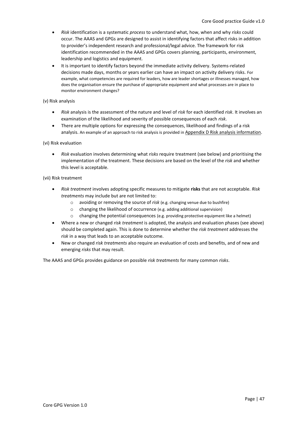- *Risk* identification is a systematic *process* to understand what, how, when and why *risks* could occur. The AAAS and GPGs are designed to assist in identifying factors that affect risks in addition to provider's independent research and professional/legal advice. The framework for risk identification recommended in the AAAS and GPGs covers planning, participants, environment, leadership and logistics and equipment.
- It is important to identify factors beyond the immediate activity delivery. Systems-related decisions made days, months or years earlier can have an impact on activity delivery risks. For example, what competencies are required for leaders, how are leader shortages or illnesses managed, how does the organisation ensure the purchase of appropriate equipment and what processes are in place to monitor environment changes?

#### (v) Risk analysis

- *Risk* analysis is the assessment of the nature and level of *risk* for each identified *risk*. It involves an examination of the likelihood and severity of possible consequences of each *risk*.
- There are multiple options for expressing the consequences, likelihood and findings of a risk analysis. An example of an approach to risk analysis is provided in Appendix D [Risk analysis information.](#page-47-0)

#### (vi) Risk evaluation

• *Risk* evaluation involves determining what *risks* require treatment (see below) and prioritising the implementation of the treatment. These decisions are based on the level of the *risk* and whether this level is acceptable.

#### (vii) Risk treatment

- *Risk treatment* involves adopting specific measures to mitigate **risks** that are not acceptable. *Risk treatments* may include but are not limited to:
	- o avoiding or removing the source of *risk* (e.g. changing venue due to bushfire)
	- o changing the likelihood of occurrence (e.g. adding additional supervision)
	- $\circ$  changing the potential consequences (e.g. providing protective equipment like a helmet)
- Where a new or changed *risk treatment* is adopted, the analysis and evaluation phases (see above) should be completed again. This is done to determine whether the *risk treatment* addresses the *risk* in a way that leads to an acceptable outcome.
- New or changed *risk treatments* also require an evaluation of costs and benefits, and of new and emerging *risks* that may result.

The AAAS and GPGs provides guidance on possible *risk treatments* for many common *risks*.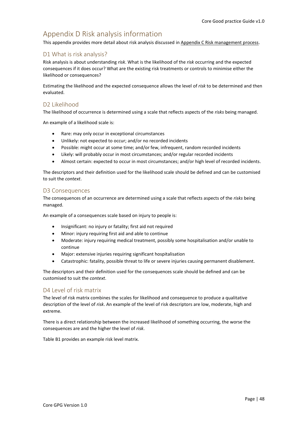# <span id="page-47-0"></span>Appendix D Risk analysis information

This appendix provides more detail about risk analysis discussed i[n Appendix C Risk management process.](#page-45-0)

#### <span id="page-47-1"></span>D1 What is risk analysis?

Risk analysis is about understanding *risk*. What is the likelihood of the *risk* occurring and the expected consequences if it does occur? What are the existing risk treatments or controls to minimise either the likelihood or consequences?

Estimating the likelihood and the expected consequence allows the level of *risk* to be determined and then evaluated.

#### <span id="page-47-2"></span>D2 Likelihood

The likelihood of occurrence is determined using a scale that reflects aspects of the *risks* being managed.

An example of a likelihood scale is:

- Rare: may only occur in exceptional circumstances
- Unlikely: not expected to occur; and/or no recorded incidents
- Possible: might occur at some time; and/or few, infrequent, random recorded incidents
- Likely: will probably occur in most circumstances; and/or regular recorded incidents
- Almost certain: expected to occur in most circumstances; and/or high level of recorded incidents.

The descriptors and their definition used for the likelihood scale should be defined and can be customised to suit the *context*.

#### <span id="page-47-3"></span>D3 Consequences

The consequences of an occurrence are determined using a scale that reflects aspects of the *risks* being managed.

An example of a consequences scale based on injury to people is:

- Insignificant: no injury or fatality; first aid not required
- Minor: injury requiring first aid and able to continue
- Moderate: injury requiring medical treatment, possibly some hospitalisation and/or unable to continue
- Major: extensive injuries requiring significant hospitalisation
- Catastrophic: fatality, possible threat to life or severe injuries causing permanent disablement.

The descriptors and their definition used for the consequences scale should be defined and can be customised to suit the *context*.

#### <span id="page-47-4"></span>D4 Level of risk matrix

The level of risk matrix combines the scales for likelihood and consequence to produce a qualitative description of the level of *risk*. An example of the level of risk descriptors are low, moderate, high and extreme.

There is a direct relationship between the increased likelihood of something occurring, the worse the consequences are and the higher the level of *risk*.

Table B1 provides an example risk level matrix.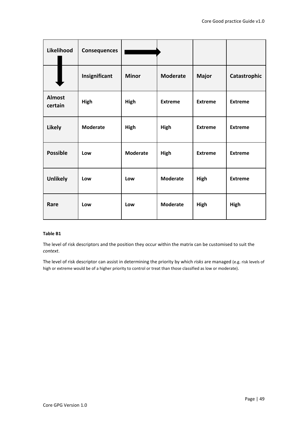| Likelihood               | <b>Consequences</b> |                 |                 |                |                |
|--------------------------|---------------------|-----------------|-----------------|----------------|----------------|
|                          | Insignificant       | <b>Minor</b>    | <b>Moderate</b> | <b>Major</b>   | Catastrophic   |
| <b>Almost</b><br>certain | High                | High            | <b>Extreme</b>  | <b>Extreme</b> | <b>Extreme</b> |
| <b>Likely</b>            | <b>Moderate</b>     | High            | High            | <b>Extreme</b> | <b>Extreme</b> |
| <b>Possible</b>          | Low                 | <b>Moderate</b> | High            | <b>Extreme</b> | <b>Extreme</b> |
| <b>Unlikely</b>          | Low                 | Low             | <b>Moderate</b> | High           | <b>Extreme</b> |
| Rare                     | Low                 | Low             | <b>Moderate</b> | High           | High           |

#### **Table B1**

The level of risk descriptors and the position they occur within the matrix can be customised to suit the *context*.

The level of risk descriptor can assist in determining the priority by which *risks* are managed (e.g. risk levels of high or extreme would be of a higher priority to control or treat than those classified as low or moderate).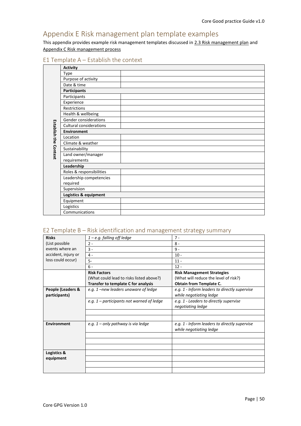# <span id="page-49-0"></span>Appendix E Risk management plan template examples

This appendix provides example risk management templates discussed i[n 2.3 Risk management plan](#page-6-1) and [Appendix C Risk management process](#page-45-0)

#### <span id="page-49-1"></span>E1 Template A – Establish the context

|                              | <b>Activity</b>                |  |  |  |  |  |
|------------------------------|--------------------------------|--|--|--|--|--|
|                              | <b>Type</b>                    |  |  |  |  |  |
|                              | Purpose of activity            |  |  |  |  |  |
|                              | Date & time                    |  |  |  |  |  |
|                              | <b>Participants</b>            |  |  |  |  |  |
|                              | Participants                   |  |  |  |  |  |
|                              | Experience                     |  |  |  |  |  |
|                              | Restrictions                   |  |  |  |  |  |
|                              | Health & wellbeing             |  |  |  |  |  |
|                              | Gender considerations          |  |  |  |  |  |
| <b>Establish the Context</b> | <b>Cultural considerations</b> |  |  |  |  |  |
|                              | <b>Environment</b>             |  |  |  |  |  |
|                              | Location                       |  |  |  |  |  |
|                              | Climate & weather              |  |  |  |  |  |
|                              | Sustainability                 |  |  |  |  |  |
|                              | Land owner/manager             |  |  |  |  |  |
|                              | requirements                   |  |  |  |  |  |
|                              | Leadership                     |  |  |  |  |  |
|                              | Roles & responsibilities       |  |  |  |  |  |
|                              | Leadership competencies        |  |  |  |  |  |
|                              | required                       |  |  |  |  |  |
|                              | Supervision                    |  |  |  |  |  |
|                              | Logistics & equipment          |  |  |  |  |  |
|                              | Equipment                      |  |  |  |  |  |
|                              | Logistics                      |  |  |  |  |  |
|                              | Communications                 |  |  |  |  |  |

#### <span id="page-49-2"></span>E2 Template B – Risk identification and management strategy summary

| <b>Risks</b>        | $1 - e.g.$ falling off ledge                | $7 -$                                         |
|---------------------|---------------------------------------------|-----------------------------------------------|
| (List possible      | $2 -$                                       | $8 -$                                         |
| events where an     | $\overline{3}$ -                            | $9 -$                                         |
| accident, injury or | $4 -$                                       | $10 -$                                        |
| loss could occur)   | $5-$                                        | $11 -$                                        |
|                     | $6 -$                                       | $12 -$                                        |
|                     | <b>Risk Factors</b>                         | <b>Risk Management Strategies</b>             |
|                     | (What could lead to risks listed above?)    | (What will reduce the level of risk?)         |
|                     | Transfer to template C for analysis         | <b>Obtain from Template C.</b>                |
| People (Leaders &   | e.g. 1-new leaders unaware of ledge         | e.g. 1 - Inform leaders to directly supervise |
| participants)       |                                             | while negotiating ledge                       |
|                     | e.g. $1$ – participants not warned of ledge | e.g. 1 - Leaders to directly supervise        |
|                     |                                             | negotiating ledge                             |
|                     |                                             |                                               |
|                     |                                             |                                               |
| Environment         | e.g. $1$ – only pathway is via ledge        | e.g. 1 - Inform leaders to directly supervise |
|                     |                                             | while negotiating ledge                       |
|                     |                                             |                                               |
|                     |                                             |                                               |
|                     |                                             |                                               |
| Logistics &         |                                             |                                               |
| equipment           |                                             |                                               |
|                     |                                             |                                               |
|                     |                                             |                                               |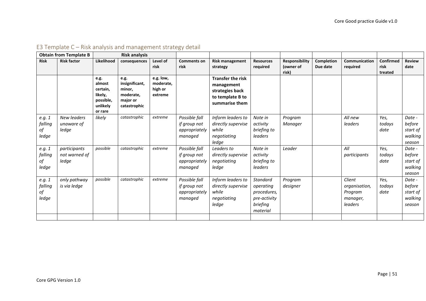<span id="page-50-0"></span>

|                                  | <b>Obtain from Template B</b>             |                                                                           | <b>Risk analysis</b>                                                      |                                              |                                                           |                                                                                                 |                                                                                     |                                             |                        |                                                           |                              |                                                   |
|----------------------------------|-------------------------------------------|---------------------------------------------------------------------------|---------------------------------------------------------------------------|----------------------------------------------|-----------------------------------------------------------|-------------------------------------------------------------------------------------------------|-------------------------------------------------------------------------------------|---------------------------------------------|------------------------|-----------------------------------------------------------|------------------------------|---------------------------------------------------|
| <b>Risk</b>                      | <b>Risk factor</b>                        | Likelihood                                                                | consequences                                                              | Level of<br>risk                             | <b>Comments on</b><br>risk                                | <b>Risk management</b><br>strategy                                                              | <b>Resources</b><br>required                                                        | <b>Responsibility</b><br>(owner of<br>risk) | Completion<br>Due date | Communication<br>required                                 | Confirmed<br>risk<br>treated | <b>Review</b><br>date                             |
|                                  |                                           | e.g.<br>almost<br>certain,<br>likely,<br>possible,<br>unlikely<br>or rare | e.g.<br>insignificant,<br>minor,<br>moderate,<br>major or<br>catastrophic | e.g. low,<br>moderate,<br>high or<br>extreme |                                                           | <b>Transfer the risk</b><br>management<br>strategies back<br>to template B to<br>summarise them |                                                                                     |                                             |                        |                                                           |                              |                                                   |
| e.g. 1<br>falling<br>οf<br>ledge | <b>New leaders</b><br>unaware of<br>ledge | likely                                                                    | catastrophic                                                              | extreme                                      | Possible fall<br>if group not<br>appropriately<br>managed | Inform leaders to<br>directly supervise<br>while<br>negotiating<br>ledge                        | Note in<br>activity<br>briefing to<br>leaders                                       | Program<br>Manager                          |                        | All new<br>leaders                                        | Yes,<br>todays<br>date       | Date -<br>before<br>start of<br>walking<br>season |
| e.g. 1<br>falling<br>of<br>ledge | participants<br>not warned of<br>ledae    | possible                                                                  | catastrophic                                                              | extreme                                      | Possible fall<br>if group not<br>appropriately<br>managed | Leaders to<br>directly supervise<br>negotiating<br>ledge                                        | Note in<br>activity<br>briefing to<br>leaders                                       | Leader                                      |                        | All<br>participants                                       | Yes,<br>todays<br>date       | Date -<br>before<br>start of<br>walking<br>season |
| e.g. 1<br>falling<br>οf<br>ledge | only pathway<br>is via ledge              | possible                                                                  | catastrophic                                                              | extreme                                      | Possible fall<br>if group not<br>appropriately<br>managed | Inform leaders to<br>directly supervise<br>while<br>negotiating<br>ledge                        | <b>Standard</b><br>operating<br>procedures,<br>pre-activity<br>briefing<br>material | Program<br>designer                         |                        | Client<br>organisation,<br>Program<br>manager,<br>leaders | Yes,<br>todays<br>date       | Date -<br>before<br>start of<br>walking<br>season |

# E3 Template C – Risk analysis and management strategy detail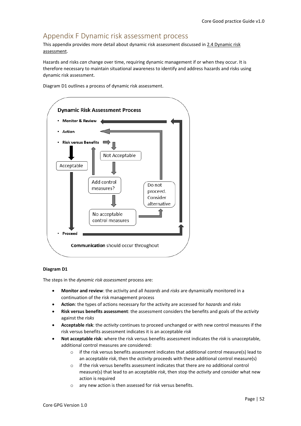# <span id="page-51-0"></span>Appendix F Dynamic risk assessment process

This appendix provides more detail about dynamic risk assessment discussed i[n 2.4 Dynamic risk](#page-6-2)  [assessment.](#page-6-2)

Hazards and risks *can* change over time, requiring dynamic management if or when they occur. It is therefore necessary to maintain situational awareness to identify and address hazards and risks using dynamic risk assessment.



Diagram D1 outlines a process of dynamic risk assessment.

#### **Diagram D1**

The steps in the *dynamic risk assessment* process are:

- **Monitor and review**: the activity and all *hazards* and *risks* are dynamically monitored in a continuation of the risk management process
- **Action**: the types of actions necessary for the activity are accessed for *hazards* and *risks*
- **Risk versus benefits assessment**: the assessment considers the benefits and goals of the *activity* against the *risks*
- **Acceptable risk**: the *activity* continues to proceed unchanged or with new control measures if the risk versus benefits assessment indicates it is an acceptable *risk*
- **Not acceptable risk**: where the risk versus benefits assessment indicates the *risk* is unacceptable, additional control measures are considered:
	- $\circ$  if the risk versus benefits assessment indicates that additional control measure(s) lead to an acceptable *risk*, then the *activity* proceeds with these additional control measure(s)
	- $\circ$  if the risk versus benefits assessment indicates that there are no additional control measure(s) that lead to an acceptable *risk*, then stop the *activity* and consider what new action is required
	- o any new action is then assessed for risk versus benefits.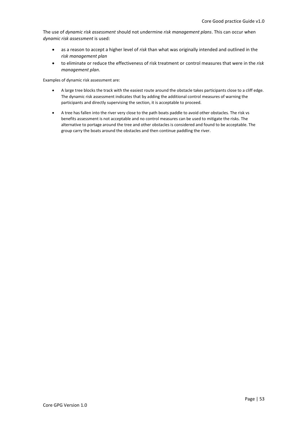The use of *dynamic risk assessment* should not undermine *risk management plans*. This can occur when *dynamic risk assessment* is used:

- as a reason to accept a higher level of *risk* than what was originally intended and outlined in the *risk management plan*
- to eliminate or reduce the effectiveness of risk treatment or control measures that were in the *risk management plan*.

Examples of dynamic risk assessment are:

- A large tree blocks the track with the easiest route around the obstacle takes participants close to a cliff edge. The dynamic risk assessment indicates that by adding the additional control measures of warning the participants and directly supervising the section, it is acceptable to proceed.
- A tree has fallen into the river very close to the path boats paddle to avoid other obstacles. The risk vs benefits assessment is not acceptable and no control measures can be used to mitigate the risks. The alternative to portage around the tree and other obstacles is considered and found to be acceptable. The group carry the boats around the obstacles and then continue paddling the river.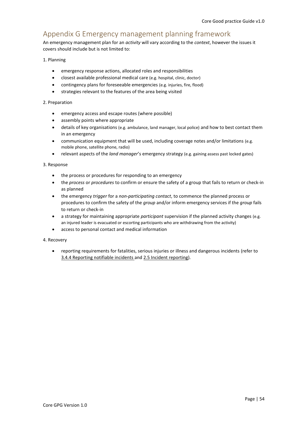# <span id="page-53-0"></span>Appendix G Emergency management planning framework

An emergency management plan for an *activity* will vary according to the *context*, however the issues it covers should include but is not limited to:

#### 1. Planning

- emergency response actions, allocated roles and responsibilities
- closest available professional medical care (e.g. hospital, clinic, doctor)
- contingency plans for foreseeable emergencies (e.g. injuries, fire, flood)
- strategies relevant to the features of the area being visited

#### 2. Preparation

- emergency access and escape routes (where possible)
- assembly points where appropriate
- details of key organisations (e.g. ambulance, land manager, local police) and how to best contact them in an emergency
- communication equipment that will be used, including coverage notes and/or limitations (e.g. mobile phone, satellite phone, radio)
- relevant aspects of the *land manager*'s emergency strategy (e.g. gaining assess past locked gates)

#### 3. Response

- the process or procedures for responding to an emergency
- the *process* or *procedures* to confirm or ensure the safety of a group that fails to return or check-in as planned
- the emergency *trigger* for a *non-participating contact*, to commence the planned process or procedures to confirm the safety of the *group* and/or inform emergency services if the *group* fails to return or check-in
- a strategy for maintaining appropriate *participant* supervision if the planned activity changes (e.g. an injured leader is evacuated or escorting participants who are withdrawing from the activity)
- access to personal contact and medical information

#### 4. Recovery

• reporting requirements for fatalities, serious injuries or illness and dangerous incidents (refer to [3.4.4 Reporting notifiable incidents](#page-12-0) an[d 2.5 Incident reporting\)](#page-7-0).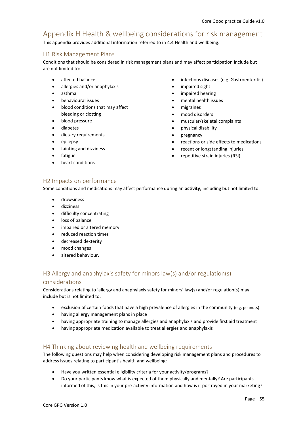# <span id="page-54-0"></span>Appendix H Health & wellbeing considerations for risk management

This appendix provides additional information referred to in [4.4 Health and wellbeing.](#page-16-0)

#### <span id="page-54-2"></span>H1 Risk Management Plans

Conditions that should be considered in risk management plans and may affect participation include but are not limited to:

- affected balance
- allergies and/or anaphylaxis
- asthma
- behavioural issues
- blood conditions that may affect bleeding or clotting
- blood pressure
- diabetes
- dietary requirements
- epilepsy
- fainting and dizziness
- fatigue
- heart conditions
- infectious diseases (e.g. Gastroenteritis)
- impaired sight
- impaired hearing
- mental health issues
- migraines
- mood disorders
- muscular/skeletal complaints
- physical disability
- pregnancy
- reactions or side effects to medications
- recent or longstanding injuries
- repetitive strain injuries (RSI).

#### <span id="page-54-3"></span>H2 Impacts on performance

Some conditions and medications may affect performance during an **activity**, including but not limited to:

- drowsiness
- dizziness
- difficulty concentrating
- loss of balance
- impaired or altered memory
- reduced reaction times
- decreased dexterity
- mood changes
- altered behaviour.

#### <span id="page-54-1"></span>H3 Allergy and anaphylaxis safety for minors law(s) and/or regulation(s)

#### considerations

Considerations relating to 'allergy and anaphylaxis safety for minors' law(s) and/or regulation(s) may include but is not limited to:

- exclusion of certain foods that have a high prevalence of allergies in the community (e.g. peanuts)
- having allergy management plans in place
- having appropriate training to manage allergies and anaphylaxis and provide first aid treatment
- having appropriate medication available to treat allergies and anaphylaxis

#### <span id="page-54-4"></span>H4 Thinking about reviewing health and wellbeing requirements

The following questions may help when considering developing risk management plans and procedures to address issues relating to participant's health and wellbeing:

- Have you written essential eligibility criteria for your activity/programs?
- Do your participants know what is expected of them physically and mentally? Are participants informed of this, is this in your pre-activity information and how is it portrayed in your marketing?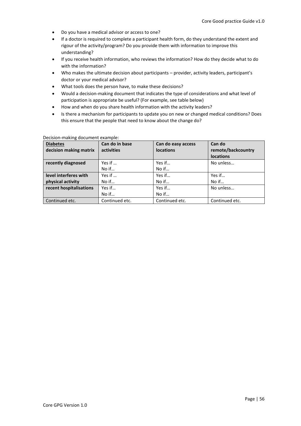- Do you have a medical advisor or access to one?
- If a doctor is required to complete a participant health form, do they understand the extent and rigour of the activity/program? Do you provide them with information to improve this understanding?
- If you receive health information, who reviews the information? How do they decide what to do with the information?
- Who makes the ultimate decision about participants provider, activity leaders, participant's doctor or your medical advisor?
- What tools does the person have, to make these decisions?
- Would a decision-making document that indicates the type of considerations and what level of participation is appropriate be useful? (For example, see table below)
- How and when do you share health information with the activity leaders?
- Is there a mechanism for participants to update you on new or changed medical conditions? Does this ensure that the people that need to know about the change do?

| <b>Diabetes</b>         | Can do in base  | Can do easy access | Can do             |
|-------------------------|-----------------|--------------------|--------------------|
| decision making matrix  | activities      | <b>locations</b>   | remote/backcountry |
|                         |                 |                    | <b>locations</b>   |
| recently diagnosed      | Yes if $\ldots$ | Yes if             | No unless          |
|                         | No if           | No if              |                    |
| level interferes with   | Yes if $\ldots$ | Yes if             | Yes if             |
| physical activity       | No if           | No if              | No if              |
| recent hospitalisations | Yes if          | Yes if             | No unless          |
|                         | No if           | $No$ if            |                    |
| Continued etc.          | Continued etc.  | Continued etc.     | Continued etc.     |

#### Decision-making document example: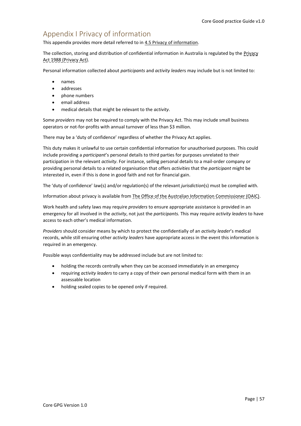# <span id="page-56-0"></span>Appendix I Privacy of information

This appendix provides more detail referred to in [4.5 Privacy of information.](#page-17-1)

The collection, storing and distribution of confidential information in Australia is regulated by the Privacy Act 1988 (Privacy Act).

Personal information collected about *participants* and *activity leade*rs may include but is not limited to:

- names
- addresses
- phone numbers
- email address
- medical details that might be relevant to the *activity*.

Some *providers* may not be required to comply with the Privacy Act. This may include small business operators or not-for-profits with annual turnover of less than \$3 million.

There may be a 'duty of confidence' regardless of whether the Privacy Act applies.

This duty makes it unlawful to use certain confidential information for unauthorised purposes. This could include providing a *participant*'s personal details to third parties for purposes unrelated to their participation in the relevant *activity*. For instance, selling personal details to a mail-order company or providing personal details to a related organisation that offers *activities* that the *participant* might be interested in, even if this is done in good faith and not for financial gain.

The 'duty of confidence' law(s) and/or regulation(s) of the relevant *jurisdiction*(s) must be complied with.

Information about privacy is available from The Office of the Australian Information Commissioner (OAIC).

Work health and safety laws may require *providers* to ensure appropriate assistance is provided in an emergency for all involved in the *activity*, not just the *participants.* This may require *activity leaders* to have access to each other's medical information.

*Providers* should consider means by which to protect the confidentially of an *activity leader*'s medical records, while still ensuring other *activity leaders* have appropriate access in the event this information is required in an emergency.

Possible ways confidentiality may be addressed include but are not limited to:

- holding the records centrally when they can be accessed immediately in an emergency
- requiring *activity leaders* to carry a copy of their own personal medical form with them in an assessable location
- holding sealed copies to be opened only if required.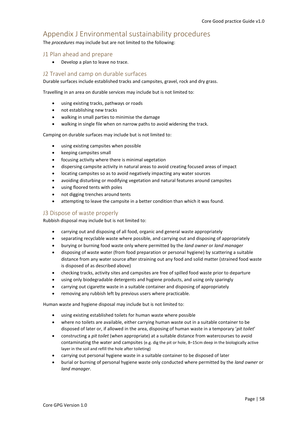# <span id="page-57-0"></span>Appendix J Environmental sustainability procedures

The *procedures* may include but are not limited to the following:

#### <span id="page-57-1"></span>J1 Plan ahead and prepare

• Develop a plan to leave no trace.

#### <span id="page-57-2"></span>J2 Travel and camp on durable surfaces

Durable surfaces include established tracks and campsites, gravel, rock and dry grass.

Travelling in an area on durable services may include but is not limited to:

- using existing tracks, pathways or roads
- not establishing new tracks
- walking in small parties to minimise the damage
- walking in single file when on narrow paths to avoid widening the track.

Camping on durable surfaces may include but is not limited to:

- using existing campsites when possible
- keeping campsites small
- focusing activity where there is minimal vegetation
- dispersing campsite activity in natural areas to avoid creating focused areas of impact
- locating campsites so as to avoid negatively impacting any water sources
- avoiding disturbing or modifying vegetation and natural features around campsites
- using floored tents with poles
- not digging trenches around tents
- attempting to leave the campsite in a better condition than which it was found.

#### <span id="page-57-3"></span>J3 Dispose of waste properly

Rubbish disposal may include but is not limited to:

- carrying out and disposing of all food, organic and general waste appropriately
- separating recyclable waste where possible, and carrying out and disposing of appropriately
- burying or burning food waste only where permitted by the *land owner* or *land manager*
- disposing of waste water (from food preparation or personal hygiene) by scattering a suitable distance from any water source after straining out any food and solid matter (strained food waste is disposed of as described above)
- checking tracks, activity sites and campsites are free of spilled food waste prior to departure
- using only biodegradable detergents and hygiene products, and using only sparingly
- carrying out cigarette waste in a suitable container and disposing of appropriately
- removing any rubbish left by previous users where practicable.

Human waste and hygiene disposal may include but is not limited to:

- using existing established toilets for human waste where possible
- where no toilets are available, either carrying human waste out in a suitable container to be disposed of later or, if allowed in the area, disposing of human waste in a temporary '*pit toilet*'
- constructing a *pit toilet* (when appropriate) at a suitable distance from watercourses to avoid contaminating the water and campsites (e.g. dig the pit or hole, 8–15cm deep in the biologically active layer in the soil and refill the hole after toileting)
- carrying out personal hygiene waste in a suitable container to be disposed of later
- burial or burning of personal hygiene waste only conducted where permitted by the *land owner* or *land manager*.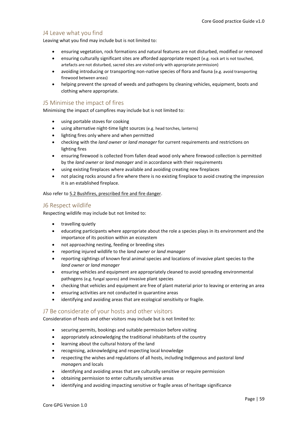#### <span id="page-58-1"></span>J4 Leave what you find

Leaving what you find may include but is not limited to:

- ensuring vegetation, rock formations and natural features are not disturbed, modified or removed
- ensuring culturally significant sites are afforded appropriate respect (e.g. rock art is not touched, artefacts are not disturbed, sacred sites are visited only with appropriate permission)
- avoiding introducing or transporting non-native species of flora and fauna (e.g. avoid transporting firewood between areas)
- helping prevent the spread of weeds and pathogens by cleaning vehicles, equipment, boots and clothing where appropriate.

#### <span id="page-58-2"></span>J5 Minimise the impact of fires

Minimising the impact of campfires may include but is not limited to:

- using portable stoves for cooking
- using alternative night-time light sources (e.g. head torches, lanterns)
- lighting fires only where and when permitted
- checking with the *land owner* or *land manager* for current requirements and restrictions on lighting fires
- ensuring firewood is collected from fallen dead wood only where firewood collection is permitted by the *land owner* or *land manager* and in accordance with their requirements
- using existing fireplaces where available and avoiding creating new fireplaces
- not placing rocks around a fire where there is no existing fireplace to avoid creating the impression it is an established fireplace.

Also refer to [5.2 Bushfires, prescribed fire](#page-20-0) and fire danger.

#### <span id="page-58-3"></span>J6 Respect wildlife

Respecting wildlife may include but not limited to:

- travelling quietly
- educating participants where appropriate about the role a species plays in its environment and the importance of its position within an ecosystem
- not approaching nesting, feeding or breeding sites
- reporting injured wildlife to the *land owner* or *land manager*
- reporting sightings of known feral animal species and locations of invasive plant species to the *land owner* or *land manager*
- ensuring vehicles and equipment are appropriately cleaned to avoid spreading environmental pathogens (e.g. fungal spores) and invasive plant species
- checking that vehicles and equipment are free of plant material prior to leaving or entering an area
- ensuring activities are not conducted in quarantine areas
- identifying and avoiding areas that are ecological sensitivity or fragile.

#### <span id="page-58-0"></span>J7 Be considerate of your hosts and other visitors

Consideration of hosts and other visitors may include but is not limited to:

- securing permits, bookings and suitable permission before visiting
- appropriately acknowledging the traditional inhabitants of the country
- learning about the cultural history of the land
- recognising, acknowledging and respecting local knowledge
- respecting the wishes and regulations of all hosts, including Indigenous and pastoral *land manager*s and locals
- identifying and avoiding areas that are culturally sensitive or require permission
- obtaining permission to enter culturally sensitive areas
- identifying and avoiding impacting sensitive or fragile areas of heritage significance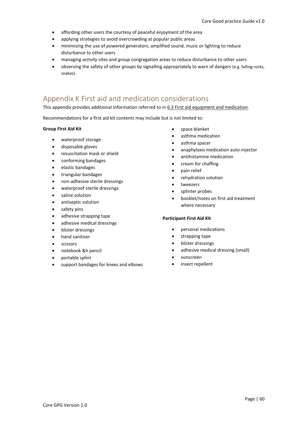- affording other users the courtesy of peaceful enjoyment of the area
- applying strategies to avoid overcrowding at popular public areas
- minimising the use of powered generators, amplified sound, music or lighting to reduce disturbance to other users
- managing *activity* sites and *group* congregation areas to reduce disturbance to other users
- observing the safety of other *groups* by signalling appropriately to warn of dangers (e.g. falling rocks, snakes).

# <span id="page-59-0"></span>Appendix K First aid and medication considerations

This appendix provides additional information referred to in [6.3 First aid equipment and medication.](#page-23-1)

Recommendations for a first aid kit contents may include but is not limited to:

#### **Group First Aid Kit**

- waterproof storage
- disposable gloves
- resuscitation mask or shield
- conforming bandages
- elastic bandages
- triangular bandages
- non-adhesive sterile dressings
- waterproof sterile dressings
- saline solution
- antiseptic solution
- safety pins
- adhesive strapping tape
- adhesive medical dressings
- blister dressings
- hand sanitiser
- scissors
- notebook &h pencil
- portable splint
- support bandages for knees and elbows
- space blanket
- asthma medication
- asthma spacer
- anaphylaxis medication auto-injector
- antihistamine medication
- cream for chaffing
- pain relief
- rehydration solution
- tweezers
- splinter probes
- booklet/notes on first aid treatment where necessary

#### **Participant First Aid Kit**

- personal medications
- strapping tape
- blister dressings
- adhesive medical dressing (small)
- sunscreen
- insect repellent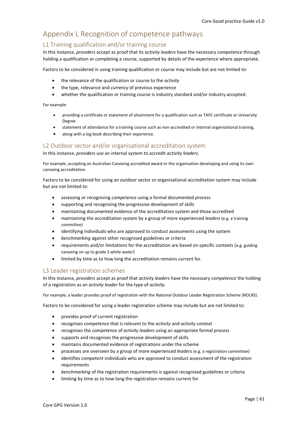# <span id="page-60-1"></span>Appendix L Recognition of competence pathways

#### <span id="page-60-0"></span>L1 Training qualification and/or training course

In this instance, *providers* accept as proof that its *activity leaders* have the necessary *competence* through holding a qualification or completing a course, supported by details of the experience where appropriate.

Factors to be considered in using training qualification or course may include but are not limited to:

- the relevance of the qualification or course to the *activity*
- the type, relevance and *currency* of previous experience
- whether the qualification or training course is industry standard and/or industry accepted.

For example:

- providing a certificate or statement of attainment for a qualification such as TAFE certificate or University Degree
- statement of attendance for a training course such as non-accredited or internal organisational training,
- along with a log book describing their experience.

#### <span id="page-60-2"></span>L2 Outdoor sector and/or organisational accreditation system

In this instance, *providers* use an internal system to accredit *activity leaders*.

For example, accepting an Australian Canoeing accredited award or the organisation developing and using its own canoeing accreditation.

Factors to be considered for using an outdoor sector or organisational accreditation system may include but are not limited to:

- assessing or recognising *competence* using a formal documented *process*
- supporting and recognising the progressive development of skills
- maintaining documented evidence of the accreditation system and those accredited
- maintaining the accreditation system by a group of more experienced *leaders* (e.g. a training committee)
- identifying individuals who are approved to conduct assessments using the system
- *benchmarking* against other recognised guidelines or criteria
- requirements and/or limitations for the accreditation are based on specific contexts (e.g. guiding canoeing on up to grade 3 white-water)
- limited by time as to how long the accreditation remains current for.

#### <span id="page-60-3"></span>L3 Leader registration schemes

In this instance, *providers* accept as proof that *activity leaders* have the necessary *competence* the holding of a registration as an *activity leader* for the type of *activity*.

For example, a leader provides proof of registration with the National Outdoor Leader Registration Scheme (NOLRS).

Factors to be considered for using a leader registration scheme may include but are not limited to:

- provides proof of current registration
- recognises *competence* that is relevant to the *activity* and *activity context*
- recognises the *competence* of *activity leaders* using an appropriate formal *process*
- supports and recognises the progressive development of skills
- maintains documented evidence of registrations under the scheme
- processes are overseen by a group of more experienced *leaders* (e.g. a registration committee)
- identifies *competent* individuals who are approved to conduct assessment of the registration requirements
- *benchmarking* of the registration requirements is against recognised guidelines or criteria
- limiting by time as to how long the registration remains current for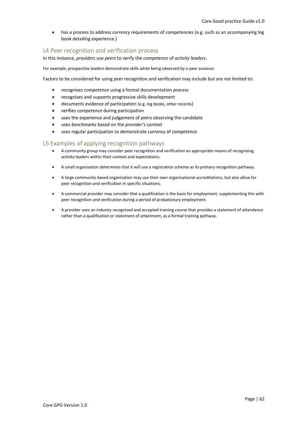• has a process to address *currency* requirements of *competencies* (e.g. such as an accompanying log book detailing experience.)

#### <span id="page-61-0"></span>L4 Peer recognition and verification process

In this instance, *providers* use *peer*s to verify the *competence* of *activity leaders*.

For example, prospective leaders demonstrate skills while being observed by a peer assessor.

Factors to be considered for using *peer* recognition and verification may include but are not limited to:

- recognises *competence* using a formal documentation *process*
- recognises and supports progressive skills development
- documents evidence of participation (e.g. log books, other records)
- verifies *competence* during participation
- uses the experience and judgement of *peers* observing the candidate
- uses *benchmarks* based on the *provider's context*
- uses regular participation to demonstrate *currency* of *competence*.

#### <span id="page-61-1"></span>L5 Examples of applying recognition pathways

- A community group may consider peer recognition and verification an appropriate means of recognising activity leaders within their context and expectations.
- A small organisation determines that it will use a registration scheme as its primary recognition pathway.
- A large community-based organisation may use their own organisational accreditations, but also allow for peer recognition and verification in specific situations.
- A commercial provider may consider that a qualification is the basis for employment, supplementing this with peer recognition and verification during a period of probationary employment.
- A provider uses an industry recognised and accepted training course that provides a statement of attendance rather than a qualification or statement of attainment, as a formal training pathway.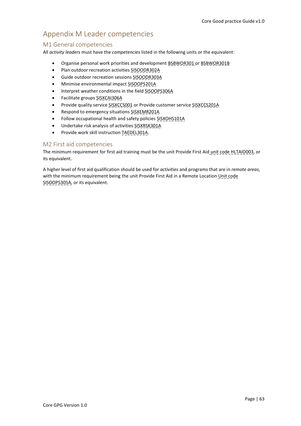# <span id="page-62-0"></span>Appendix M Leader competencies

#### <span id="page-62-1"></span>M1 General competencies

All *activity leaders* must have the *competencies* listed in the following units or the equivalent:

- Organise personal work priorities and development BSBWOR301 or BSBWOR301B
- Plan outdoor recreation activities SISOODR302A
- Guide outdoor recreation sessions SISOODR303A
- Minimise environmental impact SISOOPS201A
- Interpret weather conditions in the field SISOOPS306A
- Facilitate groups SISXCAI306A
- Provide quality service SISXCCS001 or Provide customer service SISXCCS201A
- Respond to emergency situations SISXEMR201A
- Follow occupational health and safety policies SISXOHS101A
- Undertake risk analysis of activities SISXRSK301A
- Provide work skill instruction TAEDEL301A.

#### <span id="page-62-2"></span>M2 First aid competencies

The minimum requirement for first aid training must be the unit Provide First Aid unit code HLTAID003, or its equivalent.

A higher level of first aid qualification should be used for *activities* and programs that are in *remote areas*, with the minimum requirement being the unit Provide First Aid in a Remote Location Unit code SISOOPS305A, or its equivalent.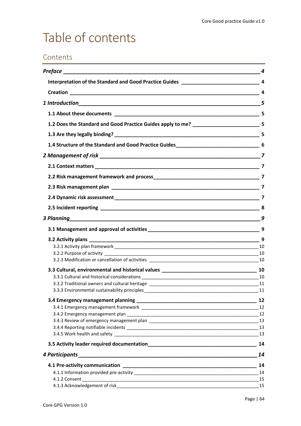# <span id="page-63-0"></span>Table of contents

# Contents

|                                                                                                 | 4              |
|-------------------------------------------------------------------------------------------------|----------------|
|                                                                                                 |                |
|                                                                                                 |                |
|                                                                                                 |                |
|                                                                                                 |                |
| 1.2 Does the Standard and Good Practice Guides apply to me? __________________________________5 |                |
|                                                                                                 |                |
| 1.4 Structure of the Standard and Good Practice Guides____________________________6             |                |
|                                                                                                 |                |
|                                                                                                 |                |
|                                                                                                 |                |
|                                                                                                 |                |
|                                                                                                 |                |
|                                                                                                 |                |
|                                                                                                 | 9              |
|                                                                                                 | $\overline{9}$ |
|                                                                                                 |                |
|                                                                                                 |                |
|                                                                                                 |                |
|                                                                                                 |                |
|                                                                                                 |                |
|                                                                                                 |                |
|                                                                                                 |                |
| 3.3.3 Environmental sustainability principles                                                   | 11             |
|                                                                                                 | 12             |
|                                                                                                 |                |
|                                                                                                 |                |
|                                                                                                 | 13             |
|                                                                                                 |                |
|                                                                                                 |                |
|                                                                                                 | 14             |
| 4 Participants                                                                                  | 14             |
|                                                                                                 | 14             |
|                                                                                                 | 14             |
|                                                                                                 |                |
|                                                                                                 |                |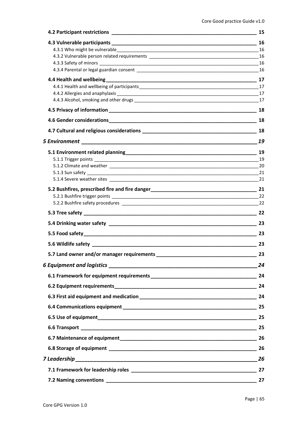|                                                                                                                                                                                                                               | 15 |
|-------------------------------------------------------------------------------------------------------------------------------------------------------------------------------------------------------------------------------|----|
|                                                                                                                                                                                                                               | 16 |
| 4.3.1 Who might be vulnerable example and the set of the set of the set of the set of the set of the set of the set of the set of the set of the set of the set of the set of the set of the set of the set of the set of the |    |
|                                                                                                                                                                                                                               |    |
|                                                                                                                                                                                                                               |    |
|                                                                                                                                                                                                                               |    |
|                                                                                                                                                                                                                               |    |
|                                                                                                                                                                                                                               |    |
|                                                                                                                                                                                                                               |    |
|                                                                                                                                                                                                                               |    |
|                                                                                                                                                                                                                               | 18 |
|                                                                                                                                                                                                                               |    |
|                                                                                                                                                                                                                               | 19 |
|                                                                                                                                                                                                                               |    |
|                                                                                                                                                                                                                               |    |
|                                                                                                                                                                                                                               |    |
|                                                                                                                                                                                                                               |    |
|                                                                                                                                                                                                                               |    |
|                                                                                                                                                                                                                               |    |
|                                                                                                                                                                                                                               |    |
|                                                                                                                                                                                                                               |    |
|                                                                                                                                                                                                                               |    |
|                                                                                                                                                                                                                               | 23 |
|                                                                                                                                                                                                                               |    |
|                                                                                                                                                                                                                               | 23 |
| 5.7 Land owner and/or manager requirements                                                                                                                                                                                    | 23 |
|                                                                                                                                                                                                                               | 24 |
|                                                                                                                                                                                                                               |    |
|                                                                                                                                                                                                                               |    |
|                                                                                                                                                                                                                               |    |
|                                                                                                                                                                                                                               |    |
|                                                                                                                                                                                                                               |    |
|                                                                                                                                                                                                                               |    |
|                                                                                                                                                                                                                               |    |
|                                                                                                                                                                                                                               |    |
|                                                                                                                                                                                                                               |    |
|                                                                                                                                                                                                                               |    |
|                                                                                                                                                                                                                               |    |
|                                                                                                                                                                                                                               |    |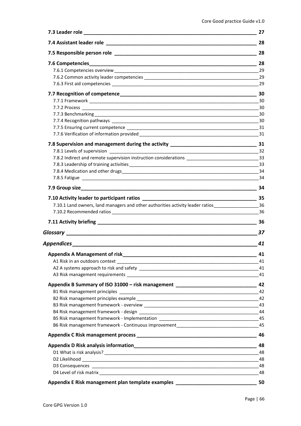|                                                                                                         | 27        |
|---------------------------------------------------------------------------------------------------------|-----------|
|                                                                                                         | 28        |
|                                                                                                         | 28        |
|                                                                                                         |           |
|                                                                                                         | 29        |
|                                                                                                         |           |
|                                                                                                         |           |
|                                                                                                         |           |
|                                                                                                         |           |
|                                                                                                         |           |
|                                                                                                         |           |
|                                                                                                         |           |
|                                                                                                         |           |
|                                                                                                         |           |
|                                                                                                         |           |
|                                                                                                         |           |
|                                                                                                         |           |
|                                                                                                         |           |
|                                                                                                         |           |
|                                                                                                         |           |
|                                                                                                         |           |
|                                                                                                         |           |
| 7.10.1 Land owners, land managers and other authorities activity leader ratios______________________ 36 |           |
|                                                                                                         |           |
|                                                                                                         | 36        |
|                                                                                                         | $\sim$ 37 |
| Appendices _______________________________                                                              | 41        |
|                                                                                                         | 41        |
|                                                                                                         | 41        |
|                                                                                                         |           |
|                                                                                                         | 41        |
| Appendix B Summary of ISO 31000 - risk management ______________________________                        | 42        |
|                                                                                                         | 42        |
|                                                                                                         |           |
|                                                                                                         |           |
|                                                                                                         |           |
|                                                                                                         |           |
| B6 Risk management framework - Continuous improvement____________________________                       | 45        |
|                                                                                                         | 46        |
|                                                                                                         | 48        |
|                                                                                                         | 48        |
|                                                                                                         | 48        |
|                                                                                                         | 48        |
|                                                                                                         | 48        |
| Appendix E Risk management plan template examples ______________________________                        | 50        |